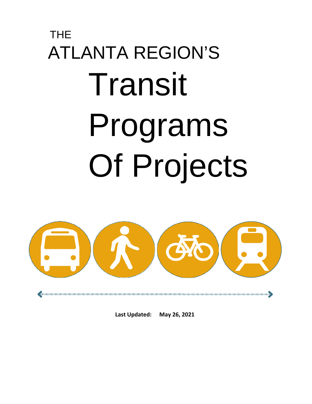# THE ATLANTA REGION'S Transit Programs Of Projects

a communicama communicama communicama communicama communicama communicama communicama communicama communicama

**Last Updated: May 26, 2021**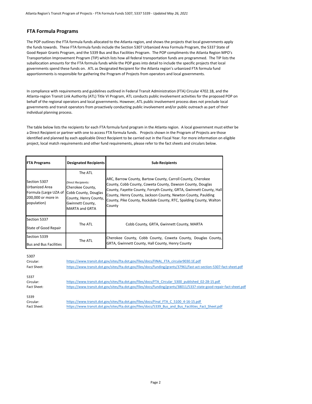#### **FTA Formula Programs**

The POP outlines the FTA formula funds allocated to the Atlanta region, and shows the projects that local governments apply the funds towards. These FTA formula funds include the Section 5307 Urbanized Area Formula Program, the 5337 State of Good Repair Grants Program, and the 5339 Bus and Bus Facilities Program. The POP compliments the Atlanta Region MPO's Transportation Improvement Program (TIP) which lists how all federal transportation funds are programmed. The TIP lists the suballocation amounts for the FTA formula funds while the POP goes into detail to include the specific projects that local governments spend these funds on. ATL as Designated Recipient for the Atlanta region's urbanized FTA formula fund apportionments is responsible for gathering the Program of Projects from operators and local governments.

In compliance with requirements and guidelines outlined in Federal Transit Administration (FTA) Circular 4702.1B, and the Atlanta-region Transit Link Authority (ATL) Title VI Program, ATL conducts public involvement activities for the proposed POP on behalf of the regional operators and local governments. However, ATL public involvement process does not preclude local governments and transit operators from proactively conducting public involvement and/or public outreach as part of their individual planning process.

The table below lists the recipients for each FTA formula fund program in the Atlanta region. A local government must either be a Direct Recipient or partner with one to access FTA formula funds. Projects shown in the Program of Projects are those identified and planned by each applicable Direct Recipient to be carried out in the Fiscal Year. For more information on eligible project, local match requirements and other fund requirements, please refer to the fact sheets and circulars below.

| <b>FTA Programs</b>                                                                          | <b>Designated Recipients</b>                                                                                                                    | <b>Sub-Recipients</b>                                                                                                                                                                                                                                                                                                                             |
|----------------------------------------------------------------------------------------------|-------------------------------------------------------------------------------------------------------------------------------------------------|---------------------------------------------------------------------------------------------------------------------------------------------------------------------------------------------------------------------------------------------------------------------------------------------------------------------------------------------------|
| Section 5307<br>Urbanized Area<br>Formula (Large UZA of<br>200,000 or more in<br>population) | The ATL<br>Direct Recipients:<br>Cherokee County,<br>Cobb County, Douglas<br>County, Henry County,<br>Gwinnett County,<br><b>MARTA and GRTA</b> | ARC, Barrow County, Bartow County, Carroll County, Cherokee<br>County, Cobb County, Coweta County, Dawson County, Douglas<br>County, Fayette County, Forsyth County, GRTA, Gwinnett County, Hall<br>County, Henry County, Jackson County, Newton County, Paulding<br>County, Pike County, Rockdale County, RTC, Spalding County, Walton<br>County |
| Section 5337<br>State of Good Repair                                                         | The ATL                                                                                                                                         | Cobb County, GRTA, Gwinnett County, MARTA                                                                                                                                                                                                                                                                                                         |
| Section 5339<br><b>Bus and Bus Facilities</b>                                                | The ATL                                                                                                                                         | Cherokee County, Cobb County, Coweta County, Douglas County,<br>GRTA, Gwinnett County, Hall County, Henry County                                                                                                                                                                                                                                  |

| 5307<br>Circular:<br>Fact Sheet: | https://www.transit.dot.gov/sites/fta.dot.gov/files/docs/FINAL_FTA_circular9030.1E.pdf<br>https://www.transit.dot.gov/sites/fta.dot.gov/files/docs/funding/grants/37961/fast-act-section-5307-fact-sheet.pdf             |  |  |  |
|----------------------------------|--------------------------------------------------------------------------------------------------------------------------------------------------------------------------------------------------------------------------|--|--|--|
| 5337<br>Circular:<br>Fact Sheet: | https://www.transit.dot.gov/sites/fta.dot.gov/files/docs/FTA Circular 5300 published 02-28-15.pdf<br>https://www.transit.dot.gov/sites/fta.dot.gov/files/docs/funding/grants/38011/5337-state-good-repair-fact-sheet.pdf |  |  |  |
| 5339<br>Circular:<br>Fact Sheet: | https://www.transit.dot.gov/sites/fta.dot.gov/files/docs/Final_FTA_C_5100_4-16-15.pdf<br>https://www.transit.dot.gov/sites/fta.dot.gov/files/docs/5339 Bus and Bus Facilities Fact Sheet.pdf                             |  |  |  |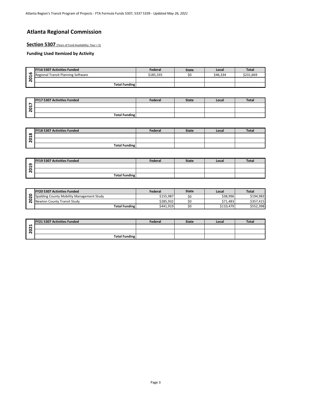# **Atlanta Regional Commission**

#### Section 5307 (Years of Fund Availability: Year + 5)

|        | <b>FY16 5307 Activities Funded</b> | Federal   | <b>State</b> | Local    | <b>Total</b> |
|--------|------------------------------------|-----------|--------------|----------|--------------|
| ۵<br>↽ | Regional Transit Planning Software | \$185.335 |              | \$46.334 | \$231.669    |
| c      |                                    |           |              |          |              |
|        | <b>Total Funding</b>               |           |              |          |              |

| <b>FY17 5307 Activities Funded</b> | Federal | <b>State</b> | Local | Total |
|------------------------------------|---------|--------------|-------|-------|
|                                    |         |              |       |       |
|                                    |         |              |       |       |
| <b>Total Funding</b>               |         |              |       |       |

|          | <b>FY18 5307 Activities Funded</b> | Federal | <b>State</b> | Local | <b>Total</b> |
|----------|------------------------------------|---------|--------------|-------|--------------|
| $\infty$ |                                    |         |              |       |              |
| . .      |                                    |         |              |       |              |
|          | <b>Total Funding</b>               |         |              |       |              |

|        | <b>FY19 5307 Activities Funded</b> | Federal | <b>State</b> | Local | <b>Total</b> |
|--------|------------------------------------|---------|--------------|-------|--------------|
| ີ<br>↽ |                                    |         |              |       |              |
|        |                                    |         |              |       |              |
|        | <b>Total Funding</b>               |         |              |       |              |

| <b>FY20 5307 Activities Funded</b>        | Federal   | <b>State</b> | Local     | <b>Total</b> |
|-------------------------------------------|-----------|--------------|-----------|--------------|
| Spalding County Mobility Management Study | \$155.987 | ŚС           | \$38,996  | \$194,983    |
| Newton County Transit Study               | \$285.932 |              | \$71.483  | \$357.415    |
| <b>Total Funding</b>                      | \$441.919 | ŚС           | \$110.479 | \$552,398    |

| -<br>$\sim$<br>c<br>$\sim$ | <b>FY21 5307 Activities Funded</b> | Federal | <b>State</b> | Local | <b>Total</b> |
|----------------------------|------------------------------------|---------|--------------|-------|--------------|
|                            |                                    |         |              |       |              |
|                            |                                    |         |              |       |              |
|                            | <b>Total Funding</b>               |         |              |       |              |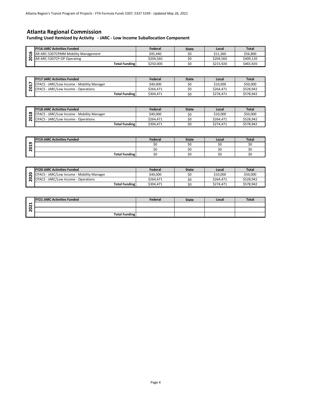# **Atlanta Regional Commission**

**Funding Used Itemized by Activity - JARC - Low Income Suballocation Component**

|              | <b>FY16 JARC Activities Funded</b>  | Federal   | <b>State</b> | Local     | <b>Total</b> |
|--------------|-------------------------------------|-----------|--------------|-----------|--------------|
| $\mathbf{o}$ | AR-ARC-5307CPMM Mobility Management | \$45.440  |              | \$11.360  | \$56.800     |
| c            | AR-ARC-5307CP-OP Operating          | \$204.560 |              | \$204.560 | \$409.120    |
|              | <b>Total Funding</b>                | \$250,000 | S0           | \$215.920 | \$465.920    |

|                | AR-ARC-5307CPMM Mobility Management         | \$45,440  | \$0                 | \$11,360               | \$56,800     |  |  |
|----------------|---------------------------------------------|-----------|---------------------|------------------------|--------------|--|--|
| 2016           | AR-ARC-5307CP-OP Operating                  | \$204,560 | \$0                 | \$204,560              | \$409,120    |  |  |
|                | <b>Total Funding</b>                        | \$250,000 | \$0                 | \$215,920              | \$465,920    |  |  |
|                |                                             |           |                     |                        |              |  |  |
|                |                                             |           |                     |                        |              |  |  |
|                | <b>FY17 JARC Activities Funded</b>          | Federal   | <b>State</b>        | Local                  | <b>Total</b> |  |  |
| $\mathbf{L}$   | CPACS - JARC/Low Income - Mobility Manager  | \$40,000  | \$0                 | \$10,000               | \$50,000     |  |  |
| $\overline{a}$ | CPACS - JARC/Low Income - Operations        | \$264,471 | \$0                 | \$264,471              | \$528,942    |  |  |
|                | <b>Total Funding</b>                        | \$304,471 | \$0                 | \$274,471              | \$578,942    |  |  |
|                |                                             |           |                     |                        |              |  |  |
|                | <b>FY18 JARC Activities Funded</b>          | Federal   |                     | Local                  | <b>Total</b> |  |  |
| $\frac{8}{18}$ | CPACS - JARC/Low Income - Mobility Manager  | \$40,000  | <b>State</b><br>\$0 | \$10,000               | \$50,000     |  |  |
| $\overline{a}$ | <b>CPACS - JARC/Low Income - Operations</b> | \$264,471 | \$0                 |                        | \$528,942    |  |  |
|                | <b>Total Funding</b>                        | \$304,471 | \$0                 | \$264,471<br>\$274,471 | \$578,942    |  |  |
|                |                                             |           |                     |                        |              |  |  |
|                |                                             |           |                     |                        |              |  |  |
|                |                                             |           |                     |                        |              |  |  |
|                | <b>FY19 JARC Activities Funded</b>          | Federal   | <b>State</b>        | Local                  | <b>Total</b> |  |  |
|                |                                             | \$0       | \$0                 | \$0                    | \$0          |  |  |
|                |                                             | \$0       | \$0                 | \$0                    | \$0          |  |  |
| 2019           | <b>Total Funding</b>                        | \$0       | \$0                 | \$0                    | \$0          |  |  |
|                |                                             |           |                     |                        |              |  |  |
|                |                                             |           |                     |                        |              |  |  |
|                | <b>FY20 JARC Activities Funded</b>          | Federal   | <b>State</b>        | Local                  | <b>Total</b> |  |  |
|                | CPACS - JARC/Low Income - Mobility Manager  | \$40,000  | \$0                 | \$10,000               | \$50,000     |  |  |
| 2020           | <b>CPACS - JARC/Low Income - Operations</b> | \$264,471 | \$0                 | \$264,471              | \$528,942    |  |  |
|                | <b>Total Funding</b>                        | \$304,471 | \$0                 | \$274,471              | \$578,942    |  |  |
|                |                                             |           |                     |                        |              |  |  |
|                |                                             |           |                     |                        |              |  |  |
|                | <b>FY21 JARC Activities Funded</b>          | Federal   | <b>State</b>        | Local                  | <b>Total</b> |  |  |
| 021<br>Ñ       |                                             |           |                     |                        |              |  |  |

| <b>FY18 JARC Activities Funded</b>         | Federal   | <b>State</b> | Local     | <b>Total</b> |
|--------------------------------------------|-----------|--------------|-----------|--------------|
| CPACS - JARC/Low Income - Mobility Manager | \$40.000  |              | \$10,000  | \$50,000     |
| CPACS - JARC/Low Income - Operations       | \$264.471 |              | \$264.471 | \$528.942    |
| <b>Total Funding</b>                       | \$304.471 | Ś0           | \$274.471 | \$578.942    |

|        | <b>FY19 JARC Activities Funded</b> | Federal | <b>State</b> | Local | <b>Total</b> |
|--------|------------------------------------|---------|--------------|-------|--------------|
| െ<br>↽ |                                    |         |              |       | SC           |
| e      |                                    | 5ľ      |              |       | sc           |
|        | <b>Total Funding</b>               | SC      |              | ◡     | SC           |

| <b>FY20 JARC Activities Funded</b>         | Federal   | <b>State</b> | Local     | <b>Total</b> |
|--------------------------------------------|-----------|--------------|-----------|--------------|
| CPACS - JARC/Low Income - Mobility Manager | \$40.000  | SC           | \$10.000  | \$50.000     |
| CPACS - JARC/Low Income - Operations       | \$264.471 | ŚС           | \$264.471 | \$528.942    |
| <b>Total Funding</b>                       | \$304.471 | ŚС           | \$274.471 | \$578.942    |

| <b>FY21 JARC Activities Funded</b> | Federal | <b>State</b> | Local | <b>Total</b> |
|------------------------------------|---------|--------------|-------|--------------|
|                                    |         |              |       |              |
|                                    |         |              |       |              |
| <b>Total Funding</b>               |         |              |       |              |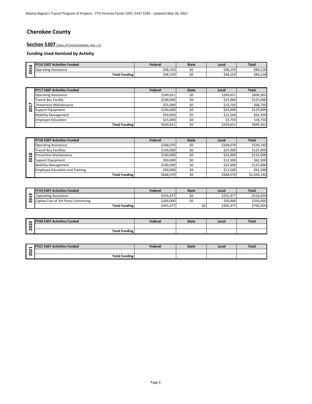# **Cherokee County**

**Section 5307** (Years of Fund Availability: Year + 5)

| кC            | FY16 5307<br>' Activities Funded | Federal  | <b>State</b> | Local    | <b>Total</b> |
|---------------|----------------------------------|----------|--------------|----------|--------------|
| ↽<br>−<br>. . | <b>Operating Assistance</b>      | \$48.259 | JU           | \$48,259 | \$96,518     |
| -             | <b>Total Funding</b>             | \$48,259 | ΨU           | \$48,259 | \$96,518     |

|        | <b>FY17 5307 Activities Funded</b> | <b>Federal</b> | <b>State</b> | Local     | <b>Total</b> |
|--------|------------------------------------|----------------|--------------|-----------|--------------|
|        | <b>Operating Assistance</b>        | \$249.651      | \$0          | \$249.651 | \$499,302    |
|        | <b>Transit Bus Facility</b>        | \$100,000      | \$0          | \$25,000  | \$125,000    |
| ∼<br>H | <b>Preventive Maintenance</b>      | \$55,000       | \$0          | \$13,750  | \$68,750     |
| o<br>ี | <b>Support Equipment</b>           | \$100.000      | \$0          | \$25,000  | \$125,000    |
|        | <b>Mobility Management</b>         | \$50,000       | \$0          | \$12.500  | \$62,500     |
|        | <b>Employee Education</b>          | \$15,000       | \$0          | \$3.750   | \$18,750     |
|        | <b>Total Funding</b>               | \$569,651      | \$0          | \$329,651 | \$899,302    |

|          | <b>FY18 5307 Activities Funded</b>     | <b>Federal</b> | <b>State</b> | Local     | <b>Total</b> |
|----------|----------------------------------------|----------------|--------------|-----------|--------------|
|          | <b>Operating Assistance</b>            | \$268,070      | \$0          | \$268.070 | \$536,140    |
|          | <b>Transit Bus Facilities</b>          | \$100,000      | \$0          | \$25.000  | \$125.000    |
| $\infty$ | <b>Preventive Maintenance</b>          | \$100,000      | \$0          | \$25.000  | \$125,000    |
| o        | Support Equipment                      | \$50,000       | \$0          | \$12.500  | \$62,500     |
|          | <b>Mobility Management</b>             | \$100.000      | \$0          | \$25.000  | \$125,000    |
|          | <b>Employee Education and Training</b> | \$50,000       | \$0          | \$12.500  | \$62,500     |
|          | <b>Total Funding</b>                   | \$668,070      | \$0          | \$368,070 | \$1,036,140  |

|                              | <b>FY19 5307 Activities Funded</b>    | Federal        | <b>State</b> | Local     | <b>Total</b> |
|------------------------------|---------------------------------------|----------------|--------------|-----------|--------------|
| ဌ                            | <b>Operating Assistance</b>           | \$255,477      | \$0          | \$255,477 | \$510,954    |
| 0<br>$\overline{\mathbf{N}}$ | Capital Cost of 3rd Party Contracting | \$200,000      | \$0          | \$50,000  | \$250,000    |
|                              | <b>Total Funding</b>                  | \$455,477      | \$0          | \$305,477 | \$760,954    |
|                              |                                       |                |              |           |              |
|                              |                                       |                |              |           |              |
| $\bullet$                    | <b>FY20 5307 Activities Funded</b>    | <b>Federal</b> | <b>State</b> | Local     | <b>Total</b> |
| 8                            |                                       |                |              |           |              |
| $\overline{\mathbf{N}}$      | Total Funding                         |                |              |           |              |

| o                   | 5307 Activities Funded | Federal | State | Local | <b>Total</b> |
|---------------------|------------------------|---------|-------|-------|--------------|
| $\sim$<br>$\bullet$ |                        |         |       |       |              |
| $\sim$              | <b>Total Funding</b>   |         |       |       |              |

| ↽                | L 5307 Activities Funded | <b>Federal</b> | State | Local | Tota. |
|------------------|--------------------------|----------------|-------|-------|-------|
| $\sim$<br>-<br>◡ |                          |                |       |       |       |
| $\sim$           | <b>Total Funding</b>     |                |       |       |       |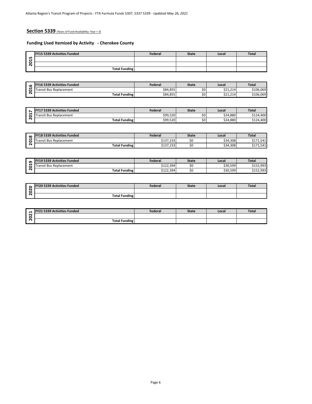#### **Section 5339** (Years of Fund Availability: Year + 3)

#### **Funding Used Itemized by Activity - Cherokee County**

|             | <b>FY15 5339 Activities Funded</b> | Federal | <b>State</b> | Local | <b>Total</b> |
|-------------|------------------------------------|---------|--------------|-------|--------------|
| ம<br>↽      |                                    |         |              |       |              |
| e<br>$\sim$ |                                    |         |              |       |              |
|             | <b>Total Funding</b>               |         |              |       |              |

| <b>2015</b> |                                    |                |              |          |                                     |
|-------------|------------------------------------|----------------|--------------|----------|-------------------------------------|
|             | <b>Total Funding</b>               |                |              |          |                                     |
|             |                                    |                |              |          |                                     |
|             |                                    |                |              |          |                                     |
|             | <b>FY16 5339 Activities Funded</b> | Federal        | <b>State</b> | Local    | <b>Total</b>                        |
| 2016        | <b>Transit Bus Replacement</b>     | \$84,855       | \$0          | \$21,214 | \$106,069                           |
|             | <b>Total Funding</b>               | \$84,855       | \$0          | \$21,214 | \$106,069                           |
|             |                                    |                |              |          |                                     |
|             |                                    |                |              |          |                                     |
|             | <b>FY17 5339 Activities Funded</b> | Federal        | <b>State</b> | Local    | <b>Total</b>                        |
| 2017        | <b>Transit Bus Replacement</b>     | \$99,520       | \$0          | \$24,880 | \$124,400                           |
|             | <b>Total Funding</b>               | \$99,520       | \$0          | \$24,880 | \$124,400                           |
|             |                                    |                |              |          |                                     |
|             |                                    |                |              |          |                                     |
|             |                                    |                |              |          |                                     |
|             | <b>FY18 5339 Activities Funded</b> | Federal        | <b>State</b> | Local    | <b>Total</b>                        |
|             | <b>Transit Bus Replacement</b>     | \$137,233      | \$0          | \$34,308 |                                     |
| 2018        | <b>Total Funding</b>               | \$137,233      | \$0          | \$34,308 |                                     |
|             |                                    |                |              |          |                                     |
|             |                                    |                |              |          |                                     |
|             | FY19 5339 Activities Funded        | Federal        | <b>State</b> | Local    | <b>Total</b>                        |
| ෨           | <b>Transit Bus Replacement</b>     | \$122,394      | \$0          | \$30,599 | \$171,541<br>\$171,541<br>\$152,993 |
| <b>201</b>  | <b>Total Funding</b>               | \$122,394      | \$0          | \$30,599 | \$152,993                           |
|             |                                    |                |              |          |                                     |
|             |                                    |                |              |          |                                     |
|             | <b>FY20 5339 Activities Funded</b> | <b>Federal</b> | <b>State</b> | Local    | <b>Total</b>                        |
| 2020        |                                    |                |              |          |                                     |

|   | <b>FY17 5339 Activities Funded</b> | Federal  | <b>State</b> | Local    | Total     |
|---|------------------------------------|----------|--------------|----------|-----------|
|   | <b>Transit Bus Replacement</b>     | \$99,520 | \$0          | \$24,880 | \$124,400 |
| - | <b>Total Funding</b>               | \$99,520 | \$0          | \$24,880 | \$124,400 |

| $\infty$ | <b>FY18 5339 Activities Funded</b> | <b>Federal</b>           | <b>State</b> | Local    | <b>Total</b>         |
|----------|------------------------------------|--------------------------|--------------|----------|----------------------|
| е        | t Bus Replacement<br>ransit        | 1127222<br>د دے, ، د ۱ د | υc           | \$34,308 | .541<br>--<br>. - -  |
| $\sim$   | <b>Total Funding</b>               | $A = 22$<br>\$137,233    | οU           | \$34,308 | 541<br>◡∸<br><b></b> |

| െ  | <b>FY19 5339 Activities Funded</b> | Federal   | <b>State</b> | Local    | Tota.     |
|----|------------------------------------|-----------|--------------|----------|-----------|
|    | ansit Bus Replacement              | \$122,394 | SC           | \$30,599 | \$152,993 |
| או | <b>Total Funding</b>               | \$122,394 | SC           | \$30,599 | \$152,993 |

| c                         | <b>FY20 5339 Activities Funded</b> | Federal | <b>State</b> | Local | <b>Total</b> |
|---------------------------|------------------------------------|---------|--------------|-------|--------------|
| $\ddot{\phantom{1}}$<br>∼ |                                    |         |              |       |              |
| $\sim$                    | <b>Total Funding</b>               |         |              |       |              |

| ↽                | <b>1911 E220 Activities Funded</b> | Federal | State | Local | <b>Total</b> |
|------------------|------------------------------------|---------|-------|-------|--------------|
| $\sim$<br>∽<br>∼ |                                    |         |       |       |              |
| $\sqrt{2}$       | <b>Total Funding</b>               |         |       |       |              |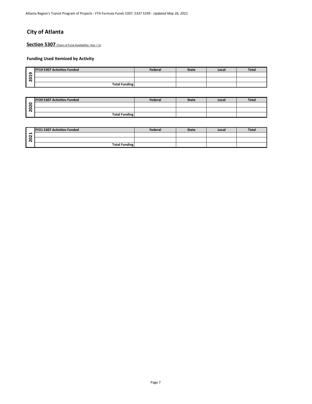# **City of Atlanta**

Section 5307 (Years of Fund Availability: Year + 5)

|        | <b>FY19 5307 Activities Funded</b> | Federal | <b>State</b> | Local | <b>Total</b> |
|--------|------------------------------------|---------|--------------|-------|--------------|
| თ<br>↽ |                                    |         |              |       |              |
| ន      |                                    |         |              |       |              |
|        | <b>Total Funding</b>               |         |              |       |              |

| <b>FY20 5307 Activities Funded</b> | <b>Federal</b> | <b>State</b> | Local | <b>Total</b> |
|------------------------------------|----------------|--------------|-------|--------------|
|                                    |                |              |       |              |
|                                    |                |              |       |              |
| <b>Total Funding</b>               |                |              |       |              |

| <b>FY21 5307 Activities Funded</b> | Federal | <b>State</b> | Local | <b>Total</b> |
|------------------------------------|---------|--------------|-------|--------------|
|                                    |         |              |       |              |
|                                    |         |              |       |              |
| <b>Total Funding</b>               |         |              |       |              |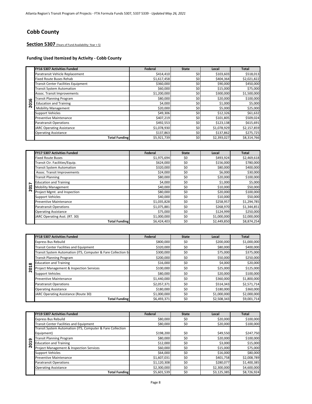# **Cobb County**

# **Section 5307** (Years of Fund Availability: Year + 5)

#### **Funding Used Itemized by Activity - Cobb County**

|                         | <b>FY16 5307 Activities Funded</b>         | Federal     | <b>State</b> | Local       | <b>Total</b> |
|-------------------------|--------------------------------------------|-------------|--------------|-------------|--------------|
|                         | Paratransit Vehicle Replacement            | \$414,410   | \$0          | \$103,603   | \$518,013    |
|                         | Fixed Route Buses Rehab                    | \$1,617,458 | \$0          | \$404,364   | \$2,021,822  |
|                         | <b>Transit Center Facilities Equipment</b> | \$360,000   | \$0          | \$90,000    | \$450,000    |
|                         | <b>Transit System Automation</b>           | \$60,000    | \$0          | \$15,000    | \$75,000     |
|                         | Assoc. Transit Improvements                | \$1,200,000 | \$0          | \$300,000   | \$1,500,000  |
| $\circ$                 | <b>Transit Planning Program</b>            | \$80,000    | \$0          | \$20,000    | \$100,000    |
| ຮ                       | <b>Education and Training</b>              | \$4,000     | \$0          | \$1,000     | \$5,000      |
| $\overline{\mathbf{N}}$ | <b>Mobility Management</b>                 | \$20,000    | \$0          | \$5,000     | \$25,000     |
|                         | <b>Support Vehicles</b>                    | \$49,306    | \$0          | \$12,326    | \$61,632     |
|                         | <b>Preventive Maintenance</b>              | \$407,219   | \$0          | \$101,805   | \$509,024    |
|                         | <b>Paratransit Operations</b>              | \$492,553   | \$0          | \$123,138   | \$615,691    |
|                         | <b>JARC Operating Assistance</b>           | \$1,078,930 | \$0          | \$1,078,929 | \$2,157,859  |
|                         | <b>Operating Assistance</b>                | \$137,863   | \$0          | \$137,862   | \$275,725    |
|                         | <b>Total Funding</b>                       | \$5,921,739 | \$0          | \$2,393,027 | \$8,314,766  |

| 201  | <b>Education and Training</b>                                    | \$4,000                    | \$0          | \$1,000                    | \$5,000                    |
|------|------------------------------------------------------------------|----------------------------|--------------|----------------------------|----------------------------|
|      | <b>Mobility Management</b>                                       | \$20,000                   | \$0          | \$5,000                    | \$25,000                   |
|      | Support Vehicles                                                 | \$49,306                   | \$0          | \$12,326                   | \$61,632                   |
|      | Preventive Maintenance                                           | \$407,219                  | \$0          | \$101,805                  | \$509,024                  |
|      | Paratransit Operations                                           | \$492,553                  | \$0          | \$123,138                  | \$615,691                  |
|      | <b>JARC Operating Assistance</b>                                 | $\overline{51,}078,930$    | \$0          | \$1,078,929                | \$2,157,859                |
|      | <b>Operating Assistance</b>                                      | \$137,863                  | \$0          | \$137,862                  | \$275,725                  |
|      | <b>Total Funding</b>                                             | \$5,921,739                | \$0          | \$2,393,027                | \$8,314,766                |
|      |                                                                  |                            |              |                            |                            |
|      |                                                                  |                            |              |                            |                            |
|      | FY17 5307 Activities Funded                                      | Federal                    | <b>State</b> | Local                      | <b>Total</b>               |
|      | <b>Fixed Route Buses</b>                                         | \$1,975,694                | \$0          | \$493,924                  | \$2,469,618                |
|      | Transit Ctr. Facilities/Equip.                                   | \$624,000                  | \$0          | \$156,000                  | \$780,000                  |
|      | <b>Transit System Automation</b>                                 | \$320,000                  | \$0          | \$80,000                   | \$400,000                  |
|      | Assoc. Transit Improvements                                      | \$24,000                   | \$0          | \$6,000                    | \$30,000                   |
|      | <b>Transit Planning</b>                                          | \$80,000                   | \$0          | \$20,000                   | \$100,000                  |
|      | <b>Education and Training</b>                                    | \$4,000                    | \$0          | \$1,000                    | \$5,000                    |
| 201  | <b>Mobility Management</b>                                       | \$40,000                   | \$0          | \$10,000                   | \$50,000                   |
|      | Project Mgmt. and Inspection                                     | \$80,000                   | \$0          | \$20,000                   | \$100,000                  |
|      | <b>Support Vehicles</b>                                          | \$40,000                   | \$0          | \$10,000                   | \$50,000                   |
|      | Preventive Maintenance                                           | \$1,035,828                | \$0          | \$258,957                  | \$1,294,785                |
|      | Paratransit Operations                                           | \$1,075,881                | \$0          | \$268,970                  | \$1,344,851                |
|      | <b>Operating Assistance</b>                                      | \$75,000                   | \$0          | \$124,999                  | \$250,000                  |
|      |                                                                  |                            |              |                            |                            |
|      | JARC Operating Asst. (RT. 30)                                    | \$1,000,000                | \$0          | \$1,000,000                | \$2,000,000                |
|      | <b>Total Funding</b>                                             | \$6,424,403                | \$0          | \$2,449,850                | \$8,874,254                |
|      |                                                                  |                            |              |                            |                            |
|      |                                                                  |                            |              |                            |                            |
|      | FY18 5307 Activities Funded                                      | Federal                    | <b>State</b> | Local                      | <b>Total</b>               |
|      | Express Bus Rebuild                                              | \$800,000                  | \$0          | \$200,000                  | \$1,000,000                |
|      | Transit Center Facilities and Equipment                          | \$320,000                  | \$0          | \$80,000                   | \$400,000                  |
|      | Transit System Automation (ITS, Computer & Fare Collection Eq    | \$300,000                  | \$0          | \$75,000                   | \$375,000                  |
|      | <b>Transit Planning Program</b>                                  | \$200,000                  | \$0          | \$50,000                   | \$250,000                  |
|      | <b>Education and Training</b>                                    | \$16,000                   | \$0          | \$4,000                    | \$20,000                   |
|      | Project Management & Inspection Services                         | \$100,000                  | \$0          | \$25,000                   | \$125,000                  |
| 2018 | <b>Support Vehicles</b>                                          | \$80,000                   | \$0          | \$20,000                   | \$100,000                  |
|      | Preventive Maintenance                                           | \$1,440,000                | \$0          | \$360,000                  | \$1,800,000                |
|      | Paratransit Operations                                           |                            | \$0          | \$514,343                  | \$2,571,714                |
|      |                                                                  | \$2,057,371                |              |                            |                            |
|      | <b>Operating Assistance</b>                                      | \$180,000                  | \$0<br>\$0   | \$180,000                  | \$360,000                  |
|      | JARC Operating Assistance (Route 30)<br><b>Total Funding</b>     | \$1,000,000<br>\$6,493,371 | \$0          | \$1,000,000<br>\$2,508,343 | \$2,000,000<br>\$9,001,714 |
|      |                                                                  |                            |              |                            |                            |
|      |                                                                  |                            |              |                            |                            |
|      | FY19 5307 Activities Funded                                      | <b>Federal</b>             | <b>State</b> | Local                      | <b>Total</b>               |
|      | <b>Express Bus Rebuild</b>                                       | \$80,000                   | \$0          | \$20,000                   | \$100,000                  |
|      | Transit Center Facilities and Equipment                          | \$80,000                   | \$0          | \$20,000                   | \$100,000                  |
|      | Transit System Automation (ITS, Computer & Fare Collection       |                            |              |                            |                            |
|      | Equipment)                                                       | \$198,200                  | \$0          | \$49,550                   | \$247,750                  |
| ഐ    | <b>Transit Planning Program</b>                                  | \$80,000                   | \$0          | \$20,000                   | \$100,000                  |
| 201  | <b>Education and Training</b><br>$1 - 24$ <b>N</b> A $        +$ | \$12,000<br>$\sim$ 0.00    | \$0<br>ć0    | \$3,000<br>615.000         | \$15,000<br>575.000        |

|      | <b>FY18 5307 Activities Funded</b>                            | Federal     | <b>State</b> | Local       | <b>Total</b> |
|------|---------------------------------------------------------------|-------------|--------------|-------------|--------------|
|      | <b>Express Bus Rebuild</b>                                    | \$800,000   | \$0          | \$200,000   | \$1,000,000  |
|      | Transit Center Facilities and Equipment                       | \$320,000   | \$0          | \$80,000    | \$400,000    |
|      | Transit System Automation (ITS, Computer & Fare Collection Ed | \$300,000   | \$0          | \$75,000    | \$375,000    |
|      | <b>Transit Planning Program</b>                               | \$200,000   | \$0          | \$50,000    | \$250,000    |
|      | <b>Education and Training</b>                                 | \$16,000    | \$0          | \$4,000     | \$20,000     |
| 2018 | <b>Project Management &amp; Inspection Services</b>           | \$100,000   | \$0          | \$25,000    | \$125,000    |
|      | <b>Support Vehicles</b>                                       | \$80,000    | \$0          | \$20,000    | \$100,000    |
|      | <b>Preventive Maintenance</b>                                 | \$1,440,000 | \$0          | \$360,000   | \$1,800,000  |
|      | <b>Paratransit Operations</b>                                 | \$2,057,371 | \$0          | \$514,343   | \$2,571,714  |
|      | <b>Operating Assistance</b>                                   | \$180,000   | \$0          | \$180,000   | \$360,000    |
|      | JARC Operating Assistance (Route 30)                          | \$1,000,000 | \$0          | \$1,000,000 | \$2,000,000  |
|      | <b>Total Funding</b>                                          | \$6,493,371 | \$0          | \$2,508,343 | \$9,001,714  |

|                         | <b>FY19 5307 Activities Funded</b>                         | Federal     | <b>State</b> | Local       | <b>Total</b> |
|-------------------------|------------------------------------------------------------|-------------|--------------|-------------|--------------|
|                         | <b>Express Bus Rebuild</b>                                 | \$80,000    | \$0          | \$20,000    | \$100,000    |
|                         | <b>Transit Center Facilities and Equipment</b>             | \$80,000    | \$0          | \$20,000    | \$100,000    |
|                         | Transit System Automation (ITS, Computer & Fare Collection |             |              |             |              |
|                         | Equipment)                                                 | \$198,200   | \$0          | \$49,550    | \$247,750    |
| െ                       | Transit Planning Program                                   | \$80,000    | \$0          | \$20,000    | \$100,000    |
| ៩                       | <b>Education and Training</b>                              | \$12,000    | \$0          | \$3,000     | \$15,000     |
| $\overline{\mathbf{N}}$ | Project Management & Inspection Services                   | \$60,000    | \$0          | \$15,000    | \$75,000     |
|                         | <b>Support Vehicles</b>                                    | \$64,000    | \$0          | \$16,000    | \$80,000     |
|                         | <b>Preventive Maintenance</b>                              | \$1,607,031 | \$0          | \$401,758   | \$2,008,789  |
|                         | <b>Paratransit Operations</b>                              | \$1,120,308 | \$0          | \$280,077   | \$1,400,385  |
|                         | <b>Operating Assistance</b>                                | \$2,300,000 | \$0          | \$2,300,000 | \$4,600,000  |
|                         | <b>Total Funding</b>                                       | \$5,601,539 | \$0          | \$3,125,385 | \$8,726,924  |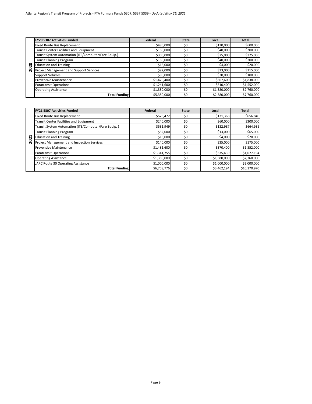|    | <b>FY20 5307 Activities Funded</b>                   | Federal     | <b>State</b> | Local       | <b>Total</b> |
|----|------------------------------------------------------|-------------|--------------|-------------|--------------|
|    | <b>Fixed Route Bus Replacement</b>                   | \$480,000   | \$0          | \$120,000   | \$600,000    |
|    | Transit Center Facilities and Equipment              | \$160,000   | \$0          | \$40,000    | \$200,000    |
|    | Transit System Automation (ITS/Computer/Fare Equip.) | \$300,000   | \$0          | \$75,000    | \$375,000    |
|    | <b>Transit Planning Program</b>                      | \$160,000   | \$0          | \$40,000    | \$200,000    |
| ຊ  | <b>Education and Training</b>                        | \$16,000    | \$0          | \$4,000     | \$20,000     |
| ຊິ | Project Management and Support Services              | \$92,000    | \$0          | \$23,000    | \$115,000    |
|    | <b>Support Vehicles</b>                              | \$80,000    | \$0          | \$20,000    | \$100,000    |
|    | <b>Preventive Maintenance</b>                        | \$1,470,400 | \$0          | \$367,600   | \$1,838,000  |
|    | <b>Paratransit Operations</b>                        | \$1,241,600 | \$0          | \$310,400   | \$1,552,000  |
|    | <b>Operating Assistance</b>                          | \$1,380,000 | \$0          | \$1,380,000 | \$2,760,000  |
|    | <b>Total Funding</b>                                 | \$5,380,000 | \$0          | \$2,380,000 | \$7,760,000  |

|        | FY21 5307 Activities Funded                          | Federal     | <b>State</b> | Local       | Total        |
|--------|------------------------------------------------------|-------------|--------------|-------------|--------------|
|        | <b>Fixed Route Bus Replacement</b>                   | \$525,472   | \$0          | \$131,368   | \$656,840    |
|        | Transit Center Facilities and Equipment              | \$240,000   | \$0          | \$60,000    | \$300,000    |
|        | Transit System Automation (ITS/Computer/Fare Equip.) | \$531,949   | \$0          | \$132,987   | \$664,936    |
|        | <b>Transit Planning Program</b>                      | \$52,000    | \$0          | \$13,000    | \$65,000     |
| ដ      | <b>Education and Training</b>                        | \$16,000    | \$0          | \$4,000     | \$20,000     |
| o<br>Ñ | Project Management and Inspection Services           | \$140,000   | \$0          | \$35,000    | \$175,000    |
|        | <b>Preventive Maintenance</b>                        | \$1,481,600 | \$0          | \$370,400   | \$1,852,000  |
|        | <b>Paratransit Operations</b>                        | \$1,341,755 | \$0          | \$335,439   | \$1,677,194  |
|        | <b>Operating Assistance</b>                          | \$1,380,000 | \$0          | \$1,380,000 | \$2,760,000  |
|        | JARC Route 30 Operating Assistance                   | \$1,000,000 | \$0          | \$1,000,000 | \$2,000,000  |
|        | <b>Total Funding</b>                                 | \$6,708,776 | \$0          | \$3,462,194 | \$10,170,970 |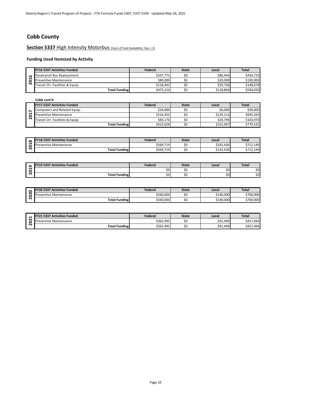## **Cobb County**

**Section 5337 High Intensity Motorbus** (Years of Fund Availability: Year + 3)

|        | <b>FY16 5337 Activities Funded</b> | Federal   | <b>State</b> | Local     | <b>Total</b> |
|--------|------------------------------------|-----------|--------------|-----------|--------------|
| c      | Paratransit Bus Replacement        | \$347.775 |              | \$86,944  | \$434.719    |
| −      | <b>Preventive Maintenance</b>      | \$80.000  |              | \$20,000  | \$100,000    |
| $\sim$ | Transit Ctr. Facilities & Equip.   | \$118.942 |              | \$29.736  | \$148.678    |
|        | <b>Total Funding</b>               | \$475,216 |              | \$118,804 | \$594,020    |

| ຶ                       | aracramore bas included include                       | ------                 |              |                        |                                                   |
|-------------------------|-------------------------------------------------------|------------------------|--------------|------------------------|---------------------------------------------------|
| S.                      | <b>Preventive Maintenance</b>                         | \$80,000               | \$0          | \$20,000               | \$100,000                                         |
| $\overline{\mathbf{N}}$ | Transit Ctr. Facilities & Equip.                      | \$118,942              | \$0          | \$29,736               | \$148,678                                         |
|                         | <b>Total Funding</b>                                  | \$475,216              | \$0          | \$118,804              | \$594,020                                         |
|                         |                                                       |                        |              |                        |                                                   |
|                         | Cobb cont'd                                           |                        |              |                        |                                                   |
|                         | FY17 5337 Activities Funded                           | <b>Federal</b>         | <b>State</b> | Local                  | <b>Total</b>                                      |
| $\overline{ }$          | Computers and Related Equip.                          | \$24,000               | \$0          | \$6,000                | \$30,000                                          |
| 201                     | <b>Preventive Maintenance</b>                         | \$516,452              | \$0          | \$129,113              | \$645,565                                         |
|                         | Transit Ctr. Facilities & Equip.                      | \$83,176               | \$0          | \$20,794               | \$103,970                                         |
|                         | <b>Total Funding</b>                                  | \$623,628              | \$0          | \$155,907              | \$779,535                                         |
|                         |                                                       |                        |              |                        |                                                   |
|                         |                                                       |                        |              |                        |                                                   |
|                         | <b>FY18 5337 Activities Funded</b>                    | Federal                | <b>State</b> | Local                  | <b>Total</b>                                      |
| $\infty$                |                                                       |                        |              |                        |                                                   |
| 201                     | <b>Preventive Maintenance</b><br><b>Total Funding</b> | \$569,719<br>\$569,719 | \$0<br>\$0   | \$142,430<br>\$142,430 |                                                   |
|                         |                                                       |                        |              |                        |                                                   |
|                         |                                                       |                        |              |                        |                                                   |
|                         | <b>FY19 5337 Activities Funded</b>                    | <b>Federal</b>         | <b>State</b> | Local                  | <b>Total</b>                                      |
| $\mathbf{a}$            |                                                       | \$0                    | \$0          | \$0                    |                                                   |
| $\overline{5}$          | <b>Total Funding</b>                                  | \$0                    | \$0          | \$0                    |                                                   |
|                         |                                                       |                        |              |                        |                                                   |
|                         |                                                       |                        |              |                        |                                                   |
|                         | <b>FY20 5337 Activities Funded</b>                    | <b>Federal</b>         | <b>State</b> | Local                  | <b>Total</b>                                      |
| 2020                    | <b>Preventive Maintenance</b>                         | \$560,000              | \$0          | \$140,000              | \$712,149<br>\$712,149<br>\$0<br>\$0<br>\$700,000 |

| $\infty$ | <b>FY18 5337 Activities Funded</b> | Federal   | <b>State</b> | Local     | <b>Total</b>      |
|----------|------------------------------------|-----------|--------------|-----------|-------------------|
| ↽        | reventive Maintenance              | \$569,719 | SC           | \$142.430 | \$712.149<br>ć 71 |
| $\sim$   | <b>Total Funding</b>               | \$569,719 | S0           | \$142.430 | 5712.149          |

| ഩ | <b>FY19 5337 Activities Funded</b> | Federal       | State | Local | Total |
|---|------------------------------------|---------------|-------|-------|-------|
|   |                                    | ሖ^<br>Sυ      |       | \$O   | \$0   |
| r | <b>Total Funding</b>               | $\sim$<br>5U. |       | Ś0    | \$0   |

|        | <b>FY20 5337 Activities Funded</b> | Federal   | State | Local     | <b>Total</b> |
|--------|------------------------------------|-----------|-------|-----------|--------------|
| $\sim$ | 'reventive Maintenance             | \$560,000 | $-$   | \$140,000 | \$700,000    |
| ົ      | <b>Total Funding</b>               | \$560,000 | --    | \$140.000 | \$700,000    |

|                      | 5337<br><b>Activities Funded</b><br><b>LEV<sub>31</sub></b> | Federal   | <b>State</b> | Local    | <b>Total</b>   |
|----------------------|-------------------------------------------------------------|-----------|--------------|----------|----------------|
| $\sim$               | <b>Preventive Maintenance</b>                               | \$365,995 | \$C          | \$91,499 | 494.<br>\$457  |
| $\ddot{\phantom{1}}$ | <b>Total Funding</b>                                        | \$365,995 | S0           | \$91,499 | 1.494<br>\$457 |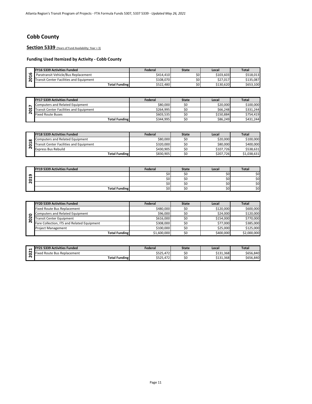## **Cobb County**

Section 5339 (Years of Fund Availability: Year + 3)

#### **Funding Used Itemized by Activity - Cobb County**

|                   | <b>FY16 5339 Activities Funded</b>      | Federal   | State | Local     | <b>Total</b> |
|-------------------|-----------------------------------------|-----------|-------|-----------|--------------|
| $\mathbf{c}$<br>↽ | Paratransit Vehicle/Bus Replacement     | \$414.410 | \$0   | \$103,603 | \$518.013    |
| c                 | Transit Center Facilities and Equipment | \$108.070 | \$0   | \$27.017  | \$135.087    |
|                   | <b>Total Funding</b>                    | \$522.480 | \$0   | \$130.620 | \$653,100    |

|   | <b>FY17 5339 Activities Funded</b>      | Federal   | <b>State</b> | Local     | Total     |
|---|-----------------------------------------|-----------|--------------|-----------|-----------|
|   | Computers and Related Equipment         | \$80,000  |              | \$20,000  | \$100,000 |
| − | Transit Center Facilities and Equipment | \$264.995 |              | \$66,248  | \$331.244 |
|   | <b>Fixed Route Buses</b>                | \$603.535 |              | \$150.884 | \$754.419 |
|   | <b>Total Funding</b>                    | \$344.995 | υc           | \$86,249  | \$431.244 |

|          | <b>FY18 5339 Activities Funded</b>      | Federal   | <b>State</b> | Local     | <b>Total</b> |
|----------|-----------------------------------------|-----------|--------------|-----------|--------------|
| $\infty$ | Computers and Related Equipment         | \$80,000  |              | \$20,000  | \$100,000    |
| −        | Transit Center Facilities and Equipment | \$320,000 |              | \$80,000  | \$400,000    |
| N        | <b>Express Bus Rebuild</b>              | \$430.905 |              | \$107.726 | \$538.631    |
|          | <b>Total Funding</b>                    | \$830.905 | \$0          | \$207.726 | \$1,038,631  |

| ٩                       | Paratransit Vehicle/Bus Replacement                                          | \$414,410 | \$0          | \$103,603  | \$518,013    |
|-------------------------|------------------------------------------------------------------------------|-----------|--------------|------------|--------------|
| $\overline{a}$          | <b>Transit Center Facilities and Equipment</b>                               | \$108,070 | \$0          | \$27,017   | \$135,087    |
|                         | <b>Total Funding</b>                                                         | \$522,480 | \$0          | \$130,620  | \$653,100    |
|                         |                                                                              |           |              |            |              |
|                         |                                                                              |           |              |            |              |
|                         | FY17 5339 Activities Funded                                                  | Federal   | <b>State</b> | Local      | <b>Total</b> |
|                         | Computers and Related Equipment                                              | \$80,000  | \$0          | \$20,000   | \$100,000    |
| 2017                    | <b>Transit Center Facilities and Equipment</b>                               | \$264,995 | \$0          | \$66,248   | \$331,244    |
|                         | <b>Fixed Route Buses</b>                                                     | \$603,535 | \$0          | \$150,884  | \$754,419    |
|                         | <b>Total Funding</b>                                                         | \$344,995 | \$0          | \$86,249   | \$431,244    |
|                         |                                                                              |           |              |            |              |
|                         | <b>FY18 5339 Activities Funded</b>                                           | Federal   | <b>State</b> | Local      | <b>Total</b> |
|                         | <b>Computers and Related Equipment</b>                                       | \$80,000  | \$0          | \$20,000   | \$100,000    |
| $\infty$                |                                                                              | \$320,000 | \$0          | \$80,000   | \$400,000    |
|                         |                                                                              |           |              |            |              |
| ä<br>$\bar{\mathbf{N}}$ | <b>Transit Center Facilities and Equipment</b><br><b>Express Bus Rebuild</b> | \$430,905 | \$0          | \$107,726  | \$538,631    |
|                         | <b>Total Funding</b>                                                         | \$830,905 | \$0          | \$207,726  | \$1,038,631  |
|                         |                                                                              |           |              |            |              |
|                         |                                                                              |           |              |            |              |
|                         | FY19 5339 Activities Funded                                                  | Federal   | <b>State</b> | Local      | <b>Total</b> |
|                         |                                                                              | \$0       | \$0          | \$0        | \$0          |
|                         |                                                                              | \$0       | \$0          | \$0        | \$0          |
| 2019                    |                                                                              | \$0       | \$0          |            |              |
|                         | <b>Total Funding</b>                                                         | \$0       | \$0          | \$0<br>\$0 | \$0<br>\$0   |
|                         |                                                                              |           |              |            |              |
|                         |                                                                              |           |              |            |              |
|                         | FY20 5339 Activities Funded                                                  | Federal   | <b>State</b> | Local      | <b>Total</b> |
|                         | <b>Fixed Route Bus Replacement</b>                                           | \$480,000 | \$0          | \$120,000  | \$600,000    |
| $\bullet$               | <b>Computers and Related Equipment</b>                                       | \$96,000  | \$0          | \$24,000   | \$120,000    |
| ā<br>$\sim$             | <b>Transit Center Equipment</b>                                              | \$616,000 | \$0          | \$154,000  | \$770,000    |

|   | <b>FY20 5339 Activities Funded</b>         | Federal     | <b>State</b> | Local     | Total       |
|---|--------------------------------------------|-------------|--------------|-----------|-------------|
|   | <b>Fixed Route Bus Replacement</b>         | \$480,000   | \$0          | \$120,000 | \$600,000   |
| o | Computers and Related Equipment            | \$96,000    |              | \$24,000  | \$120,000   |
| 8 | Transit Center Equipment                   | \$616,000   | \$0          | \$154.000 | \$770.000   |
| N | Fare Collection, ITS and Related Equipment | \$308.000   |              | \$77,000  | \$385.000   |
|   | <b>Project Management</b>                  | \$100,000   | \$0          | \$25,000  | \$125.000   |
|   | <b>Total Funding</b>                       | \$1,600,000 | \$0          | \$400,000 | \$2,000,000 |

|   | <b>FY21 5339 Activities Funded</b>            | Federal          | State | Local     | <b>Total</b> |
|---|-----------------------------------------------|------------------|-------|-----------|--------------|
| - | $- \cdot$<br>J Route Bus Replacement<br>Fixed | 172<br>\$525,472 | 5ľ    | \$131,368 | \$656.840    |
|   | <b>Total Funding</b>                          | \$525.472        | 5ľ    | \$131,368 | \$656,840    |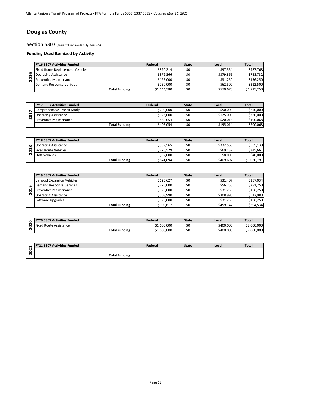# **Douglas County**

**Section 5307** (Years of Fund Availability: Year + 5)

|         | <b>FY16 5307 Activities Funded</b>      | Federal     | <b>State</b> | Local     | <b>Total</b> |
|---------|-----------------------------------------|-------------|--------------|-----------|--------------|
|         | <b>Fixed Route Replacement Vehicles</b> | \$390.214   |              | \$97.554  | \$487.768    |
| $\circ$ | <b>Operating Assistance</b>             | \$379.366   |              | \$379.366 | \$758.732    |
| c       | <b>Preventive Maintenance</b>           | \$125,000   |              | \$31.250  | \$156.250    |
|         | Demand Response Vehicles                | \$250.000   |              | \$62.500  | \$312.500    |
|         | <b>Total Funding</b>                    | \$1,144,580 |              | \$570,670 | \$1,715,250  |

|   | <b>FY17 5307 Activities Funded</b> | Federal   | <b>State</b> | Local     | <b>Total</b> |
|---|------------------------------------|-----------|--------------|-----------|--------------|
|   | Comprehensive Transit Study        | \$200.000 |              | \$50,000  | \$250,000    |
| − | <b>Operating Assistance</b>        | \$125.000 |              | \$125,000 | \$250,000    |
|   | <b>Preventive Maintenance</b>      | \$80.054  |              | \$20.014  | \$100.068    |
|   | <b>Total Funding</b>               | \$405,054 |              | \$195,014 | \$600,068    |

|          | <b>FY18 5307 Activities Funded</b> | Federal   | <b>State</b> | Local     | <b>Total</b> |
|----------|------------------------------------|-----------|--------------|-----------|--------------|
| $\infty$ | <b>Operating Assistance</b>        | \$332,565 |              | \$332,565 | \$665.130    |
|          | <b>Fixed Route Vehicles</b>        | \$276.529 |              | \$69,132  | \$345.661    |
|          | <b>Staff Vehicles</b>              | \$32,000  |              | \$8,000   | \$40,000     |
|          | <b>Total Funding</b>               | \$641,094 |              | \$409.697 | \$1,050,791  |

|                | <b>Operating Assistance</b>                                         | \$379,366              | \$0                 | \$379,366          | \$758,732                   |
|----------------|---------------------------------------------------------------------|------------------------|---------------------|--------------------|-----------------------------|
| 2016           | <b>Preventive Maintenance</b>                                       | \$125,000              | \$0                 | \$31,250           | \$156,250                   |
|                | <b>Demand Response Vehicles</b>                                     | \$250,000              | \$0                 | \$62,500           | \$312,500                   |
|                | <b>Total Funding</b>                                                | \$1,144,580            | \$0                 | \$570,670          | \$1,715,250                 |
|                |                                                                     |                        |                     |                    |                             |
|                |                                                                     |                        |                     |                    |                             |
|                | <b>FY17 5307 Activities Funded</b>                                  | Federal                | <b>State</b>        | Local              | <b>Total</b>                |
| $\overline{ }$ | Comprehensive Transit Study                                         | \$200,000              | \$0                 | \$50,000           | \$250,000                   |
| 201            | <b>Operating Assistance</b>                                         | \$125,000              | \$0                 | \$125,000          | \$250,000                   |
|                | <b>Preventive Maintenance</b>                                       | \$80,054               | \$0                 | \$20,014           | \$100,068                   |
|                | <b>Total Funding</b>                                                | \$405,054              | \$0                 | \$195,014          | \$600,068                   |
|                |                                                                     |                        |                     |                    |                             |
|                |                                                                     |                        |                     |                    |                             |
|                | <b>FY18 5307 Activities Funded</b>                                  | Federal                | <b>State</b>        | Local              | <b>Total</b>                |
|                |                                                                     |                        |                     |                    |                             |
|                | <b>Operating Assistance</b>                                         | \$332,565              | \$0                 | \$332,565          | \$665,130                   |
|                | <b>Fixed Route Vehicles</b>                                         | \$276,529              | \$0                 | \$69,132           | \$345,661                   |
| 2018           | <b>Staff Vehicles</b>                                               | \$32,000               | \$0                 | \$8,000            | \$40,000                    |
|                | <b>Total Funding</b>                                                | \$641,094              | $\overline{50}$     | \$409.697          |                             |
|                |                                                                     |                        |                     |                    |                             |
|                |                                                                     |                        |                     |                    | \$1,050,791                 |
|                | <b>FY19 5307 Activities Funded</b>                                  | Federal                | <b>State</b>        | Local              | <b>Total</b>                |
|                | <b>Vanpool Expansion Vehicles</b>                                   | \$125,627              | \$0                 | \$31,407           | \$157,034                   |
|                | <b>Demand Response Vehicles</b>                                     | \$225,000              | \$0                 | \$56,250           | \$281,250                   |
|                | <b>Preventive Maintenance</b>                                       | \$125,000              | \$0                 | \$31,250           | \$156,250                   |
| 2019           | <b>Operating Assistance</b>                                         | \$308,990              | \$0                 | \$308,990          | \$617,980                   |
|                | Software Upgrades                                                   | \$125,000              | \$0                 | \$31,250           | \$156,250                   |
|                | <b>Total Funding</b>                                                | \$909,617              | \$0                 | \$459,147          | \$594,534                   |
|                |                                                                     |                        |                     |                    |                             |
|                |                                                                     |                        |                     |                    |                             |
| 2020           | <b>FY20 5307 Activities Funded</b><br><b>Fixed Route Assistance</b> | Federal<br>\$1,600,000 | <b>State</b><br>\$0 | Local<br>\$400,000 | <b>Total</b><br>\$2,000,000 |

|   | <b>FY20 5307 Activities Funded</b> | Federal     | <b>State</b> | Local     | <b>Total</b> |
|---|------------------------------------|-------------|--------------|-----------|--------------|
| r | <b>Fixed Route Assistance</b>      | \$1,600,000 | \$0          | \$400,000 | \$2,000,000  |
| N | <b>Total Funding</b>               | \$1,600,000 | SC           | \$400,000 | \$2,000,000  |

|   | <b>FY21 5307 Activities Funded</b> | Federal | <b>State</b> | Local | <b>Total</b> |
|---|------------------------------------|---------|--------------|-------|--------------|
|   |                                    |         |              |       |              |
| r | <b>Total Funding</b>               |         |              |       |              |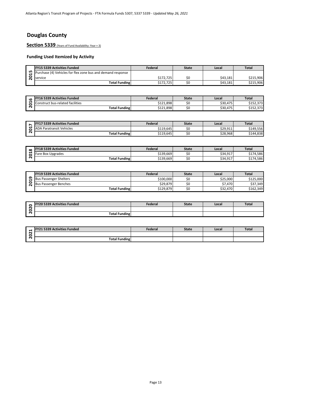# **Douglas County**

**Section 5339** (Years of Fund Availability: Year + 3)

|   | <b>FY15 5339 Activities Funded</b>                          | Federal   | <b>State</b> | Local    | <b>Total</b> |
|---|-------------------------------------------------------------|-----------|--------------|----------|--------------|
| ம | Purchase (4) Vehicles for flex zone bus and demand response |           |              |          |              |
|   | <b>Service</b>                                              | \$172.725 |              | \$43.181 | \$215.906    |
|   | <b>Total Funding</b>                                        | \$172.725 |              | \$43,181 | \$215.906    |

| <b>LC</b> | <b>FY16 5339 Activities Funded</b>         | Federal            | <b>State</b> | Local    | Total            |
|-----------|--------------------------------------------|--------------------|--------------|----------|------------------|
| ↽         | s-related facilities<br>onsti<br>ruct bus- | \$121.898<br>0.121 |              | \$30,475 | ורר<br>2132,373  |
| ⌒         | <b>Total Funding</b>                       | \$121,898          |              | \$30,475 | ורדר<br>3134,373 |

|        | <b>FY17 5339 Activities Funded</b> | Federal   | <b>State</b> | Local    | <b>Total</b> |
|--------|------------------------------------|-----------|--------------|----------|--------------|
|        | <b>ADA Paratransit Vehicles</b>    | \$119.645 | ¢٢<br>→      | \$29,911 | \$149.556    |
| $\sim$ | <b>Total Funding</b>               | \$119.645 | Ć٢           | \$28,968 | \$144,838    |

| $\propto$ | <b>FY18 5339 Activities Funded</b> | Federal   | <b>State</b> | Local    | Total          |
|-----------|------------------------------------|-----------|--------------|----------|----------------|
|           | <b>Fare Box Upgrades</b>           | \$139,669 | SC           | \$34,917 | .586           |
| N         | <b>Total Funding</b>               | \$139,669 | 5C           | \$34,917 | 4,586<br>-9174 |

|             | Purchase (4) Vehicles for flex zone bus and demand response |                |              |          |              |
|-------------|-------------------------------------------------------------|----------------|--------------|----------|--------------|
| <b>2015</b> | service                                                     | \$172,725      | \$0          | \$43,181 | \$215,906    |
|             | <b>Total Funding</b>                                        | \$172,725      | \$0          | \$43,181 | \$215,906    |
|             |                                                             |                |              |          |              |
|             | <b>FY16 5339 Activities Funded</b>                          | Federal        | <b>State</b> | Local    | <b>Total</b> |
| 2016        | <b>Construct bus-related facilities</b>                     | \$121,898      | \$0          | \$30,475 | \$152,373    |
|             | <b>Total Funding</b>                                        | \$121,898      | \$0          | \$30,475 | \$152,373    |
|             |                                                             |                |              |          |              |
|             |                                                             |                |              |          |              |
|             | <b>FY17 5339 Activities Funded</b>                          | Federal        | <b>State</b> | Local    | <b>Total</b> |
| 2017        | <b>ADA Paratransit Vehicles</b>                             | \$119,645      | \$0          | \$29,911 | \$149,556    |
|             | <b>Total Funding</b>                                        | \$119,645      | \$0          | \$28,968 | \$144,838    |
|             |                                                             |                |              |          |              |
|             |                                                             |                |              |          |              |
|             | <b>FY18 5339 Activities Funded</b>                          | <b>Federal</b> | <b>State</b> | Local    | <b>Total</b> |
|             | Fare Box Upgrades                                           | \$139,669      | \$0          | \$34,917 | \$174,586    |
| 2018        | <b>Total Funding</b>                                        | \$139,669      | \$0          | \$34,917 | \$174,586    |
|             |                                                             |                |              |          |              |
|             | <b>FY19 5339 Activities Funded</b>                          | <b>Federal</b> | <b>State</b> | Local    | <b>Total</b> |
|             | <b>Bus Passenger Shelters</b>                               | \$100,000      | \$0          | \$25,000 | \$125,000    |
|             | <b>Bus Passenger Benches</b>                                | \$29,879       | \$0          | \$7,470  | \$37,349     |
| 2019        | <b>Total Funding</b>                                        | \$129,879      | \$0          | \$32,470 | \$162,349    |
|             |                                                             |                |              |          |              |
|             | <b>FY20 5339 Activities Funded</b>                          | <b>Federal</b> | <b>State</b> | Local    | <b>Total</b> |
| 2020        | Total Funding                                               |                |              |          |              |

| $\circ$ | <b>FY20 5339 Activities Funded</b> | Federal | <b>State</b> | Local | <b>Total</b> |
|---------|------------------------------------|---------|--------------|-------|--------------|
| $\sim$  |                                    |         |              |       |              |
| ∣∼      | <b>Total Funding</b>               |         |              |       |              |

| ↽                 | L 5339 Activities Funded<br><b>LEV</b> | Federal | <b>State</b> | Local | Tota. |
|-------------------|----------------------------------------|---------|--------------|-------|-------|
| $\sim$<br>$\circ$ |                                        |         |              |       |       |
| $\sim$            | <b>Total Funding</b>                   |         |              |       |       |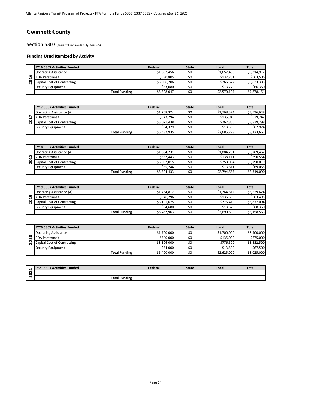## **Gwinnett County**

Section 5307 (Years of Fund Availability: Year + 5)

|   | <b>FY16 5307 Activities Funded</b> | Federal     | <b>State</b> | Local       | <b>Total</b> |
|---|------------------------------------|-------------|--------------|-------------|--------------|
|   | <b>Operating Assistance</b>        | \$1,657,456 | \$0          | \$1,657,456 | \$3,314,912  |
| ശ | <b>ADA Paratransit</b>             | \$530.805   | \$0          | \$132.701   | \$663,506    |
| o | Capital Cost of Contracting        | \$3,066,706 | \$0          | \$766.677   | \$3,833,383  |
|   | Security Equipment                 | \$53.080    | \$0          | \$13,270    | \$66.350     |
|   | <b>Total Funding</b>               | \$5,308,047 | \$0          | \$2,570,104 | \$7,878,151  |

|   | <b>FY17 5307 Activities Funded</b> | Federal     | <b>State</b> | Local       | <b>Total</b> |
|---|------------------------------------|-------------|--------------|-------------|--------------|
|   | <b>Operating Assistance (A)</b>    | \$1,768,324 | \$0          | \$1,768,324 | \$3,536,648  |
|   | <b>ADA Paratransit</b>             | \$543.794   | \$0          | \$135.949   | \$679.742    |
| 0 | Capital Cost of Contracting        | \$3,071,438 | \$0          | \$767.860   | \$3,839,298  |
|   | Security Equipment                 | \$54,379    | Ś0           | \$13.595    | \$67,974     |
|   | <b>Total Funding</b>               | \$5,437,935 | \$0          | \$2,685,728 | \$8.123.662  |

|          | <b>FY18 5307 Activities Funded</b> | Federal     | <b>State</b> | Local       | <b>Total</b> |
|----------|------------------------------------|-------------|--------------|-------------|--------------|
|          | <b>Operating Assistance (A)</b>    | \$1,884,731 | \$0          | \$1,884,731 | \$3.769.462  |
| $\infty$ | <b>ADA Paratransit</b>             | \$552,443   | \$0          | \$138,111   | \$690,554    |
| 0        | <b>Capital Cost of Contracting</b> | \$3,032,015 | Ś0           | \$758,004   | \$3,790,019  |
|          | Security Equipment                 | \$55.244    | Ś0           | \$13.811    | \$69,055     |
|          | <b>Total Funding</b>               | \$5,524,433 | \$0          | \$2,794,657 | \$8,319,090  |

|   | <b>FY19 5307 Activities Funded</b>   | Federal     | <b>State</b> | Local       | <b>Total</b> |
|---|--------------------------------------|-------------|--------------|-------------|--------------|
|   | <b>Operating Assistance (A)</b>      | \$1.764.812 | \$0          | \$1,764,812 | \$3.529.624  |
| ີ | <b>ADA Paratransit</b>               | \$546.796   | ŚC           | \$136.699   | \$683,495    |
|   | <b>Q</b> Capital Cost of Contracting | \$3,101,675 | \$0          | \$775.419   | \$3,877,094  |
|   | Security Equipment                   | \$54.680    | \$0          | \$13.670    | \$68.350     |
|   | <b>Total Funding</b>                 | \$5,467,963 | \$0          | \$2,690,600 | \$8,158,563  |

| 2020<br>2021 | <b>ADA Paratransit</b><br><b>Capital Cost of Contracting</b><br>Security Equipment<br><b>Total Funding</b><br><b>FY21 5307 Activities Funded</b> | \$540,000<br>\$3,106,000<br>\$54,000<br>\$5,400,000<br>Federal | \$0<br>\$0<br>\$0<br>\$0<br><b>State</b> | \$135,000<br>\$776,500<br>\$13,500<br>\$2,625,000<br>Local | <b>Total</b>             |
|--------------|--------------------------------------------------------------------------------------------------------------------------------------------------|----------------------------------------------------------------|------------------------------------------|------------------------------------------------------------|--------------------------|
|              |                                                                                                                                                  |                                                                |                                          |                                                            | \$8,025,000              |
|              |                                                                                                                                                  |                                                                |                                          |                                                            |                          |
|              |                                                                                                                                                  |                                                                |                                          |                                                            | \$67,500                 |
|              |                                                                                                                                                  |                                                                |                                          |                                                            | \$675,000<br>\$3,882,500 |
|              |                                                                                                                                                  |                                                                |                                          |                                                            |                          |
|              |                                                                                                                                                  |                                                                |                                          |                                                            |                          |
|              | <b>Operating Assistance</b>                                                                                                                      | \$1,700,000                                                    | \$0                                      | \$1,700,000                                                | \$3,400,000              |
|              | <b>FY20 5307 Activities Funded</b>                                                                                                               | Federal                                                        | <b>State</b>                             | Local                                                      | <b>Total</b>             |
|              |                                                                                                                                                  |                                                                |                                          |                                                            |                          |
|              | <b>Total Funding</b>                                                                                                                             | \$5,467,963                                                    | \$0                                      | \$2,690,600                                                | \$8,158,563              |
|              | Security Equipment                                                                                                                               | \$54,680                                                       | \$0                                      | \$13,670                                                   | \$68,350                 |
|              | Capital Cost of Contracting                                                                                                                      | \$3,101,675                                                    | \$0                                      | \$775,419                                                  | \$3,877,094              |
| 2019         | <b>ADA Paratransit</b>                                                                                                                           | \$546,796                                                      | \$0                                      | \$136,699                                                  | \$683,495                |
|              | <b>Operating Assistance (A)</b>                                                                                                                  | \$1,764,812                                                    | \$0                                      | \$1,764,812                                                | \$3,529,624              |
|              | <b>FY19 5307 Activities Funded</b>                                                                                                               | Federal                                                        | <b>State</b>                             | Local                                                      | <b>Total</b>             |
|              |                                                                                                                                                  |                                                                |                                          |                                                            |                          |
|              | <b>Total Funding</b>                                                                                                                             | \$5,524,433                                                    | \$0                                      | \$2,794,657                                                | \$8,319,090              |
|              | Security Equipment                                                                                                                               | \$55,244                                                       | \$0                                      | \$13,811                                                   | \$69,055                 |
| 2018         | <b>Capital Cost of Contracting</b>                                                                                                               | \$3,032,015                                                    | \$0                                      | \$758,004                                                  | \$3,790,019              |
|              | <b>ADA Paratransit</b>                                                                                                                           | \$552,443                                                      | \$0                                      | \$138,111                                                  | \$690,554                |
|              | <b>Operating Assistance (A)</b>                                                                                                                  | \$1,884,731                                                    | \$0                                      | \$1,884,731                                                | \$3,769,462              |
|              | <b>FY18 5307 Activities Funded</b>                                                                                                               | Federal                                                        | <b>State</b>                             | Local                                                      | <b>Total</b>             |
|              |                                                                                                                                                  |                                                                |                                          |                                                            |                          |
|              | <b>Total Funding</b>                                                                                                                             | \$5,437,935                                                    | \$0                                      | \$2,685,728                                                | \$8,123,662              |
|              | Capital Cost of Contracting<br>Security Equipment                                                                                                | \$3,071,438<br>\$54,379                                        | \$0<br>\$0                               | \$767,860<br>\$13,595                                      | \$3,839,298<br>\$67,974  |
|              |                                                                                                                                                  | \$543,794                                                      | \$0                                      | \$135,949                                                  | \$679,742                |
| 2017         | <b>ADA Paratransit</b>                                                                                                                           |                                                                |                                          |                                                            |                          |

| −              | <b>FY21 5307 Activities Funded</b> | Federal | <b>State</b> | Local | <b>Total</b> |
|----------------|------------------------------------|---------|--------------|-------|--------------|
| 2<br>$\bullet$ |                                    |         |              |       |              |
| או             | <b>Total Funding</b>               |         |              |       |              |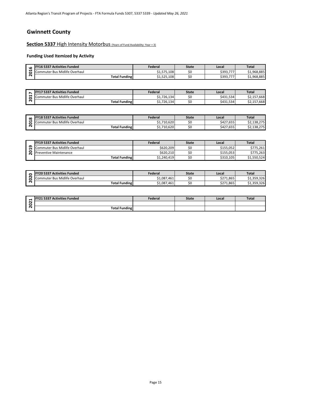## **Gwinnett County**

**Section 5337 High Intensity Motorbus** (Years of Fund Availability: Year + 3)

| <b>u</b>      | <b>FY16 5337 Activities Funded</b>               | Federal     | <b>State</b> | Local                     | <b>Total</b> |
|---------------|--------------------------------------------------|-------------|--------------|---------------------------|--------------|
| ↽<br>-<br>. . | Midlife Overhaul<br>$\sim$<br>iuter Bus<br>comm' | \$1,575,108 | ŚC           | \$393,777                 | \$1,968,885  |
| -             | <b>Total Funding</b>                             | \$1,525,108 | SΟ           | \$393,7,<br>$\rightarrow$ | \$1,968,885  |

|        | 7 5337 Activities Funded<br><b>IEV17</b> | Federal   | <b>State</b> | Local     | <b>Total</b>     |
|--------|------------------------------------------|-----------|--------------|-----------|------------------|
| ↽<br>c | muter Bus Midlife Overhaul<br>.comm      | 1,726,134 | ŚC           | \$431.534 | \$2,157,668      |
| -      | <b>Total Funding</b>                     | 726,134   | ŚC           | \$431,534 | 7,668<br>ىر 22,1 |

| $\infty$ | <b>FY18 5337 Activities Funded</b> | Federal     | <b>State</b> | Local     | <b>Total</b> |
|----------|------------------------------------|-------------|--------------|-----------|--------------|
|          | Commuter Bus Midlife Overhaul      | \$1,710,620 | <br>Ju       | \$427,655 | \$2,138,275  |
| N        | <b>Total Funding</b>               | \$1,710,620 | <br>しし       | \$427,655 | \$2,138,275  |

| Φ                                         |                                      |             |              |           |              |
|-------------------------------------------|--------------------------------------|-------------|--------------|-----------|--------------|
| ៩                                         | Commuter Bus Midlife Overhaul        | \$1,575,108 | \$0          | \$393,777 | \$1,968,885  |
| $\bar{N}$                                 | <b>Total Funding</b>                 | \$1,525,108 | \$0          | \$393,777 | \$1,968,885  |
|                                           |                                      |             |              |           |              |
|                                           |                                      |             |              |           |              |
| $\overline{ }$                            | <b>FY17 5337 Activities Funded</b>   | Federal     | <b>State</b> | Local     | <b>Total</b> |
| $\overline{a}$<br>$\overline{\mathbf{N}}$ | <b>Commuter Bus Midlife Overhaul</b> | \$1,726,134 | \$0          | \$431,534 | \$2,157,668  |
|                                           | <b>Total Funding</b>                 | \$1,726,134 | \$0          | \$431,534 | \$2,157,668  |
|                                           |                                      |             |              |           |              |
|                                           |                                      |             |              |           |              |
| $\infty$                                  | <b>FY18 5337 Activities Funded</b>   | Federal     | <b>State</b> | Local     | <b>Total</b> |
| 201                                       | Commuter Bus Midlife Overhaul        | \$1,710,620 | \$0          | \$427,655 | \$2,138,275  |
|                                           | <b>Total Funding</b>                 | \$1,710,620 | \$0          | \$427,655 | \$2,138,275  |
|                                           |                                      |             |              |           |              |
|                                           |                                      |             |              |           |              |
|                                           | <b>FY19 5337 Activities Funded</b>   | Federal     | <b>State</b> | Local     | <b>Total</b> |
| $\mathbf{a}$                              | Commuter Bus Midlife Overhaul        | \$620,209   | \$0          | \$155,052 | \$775,261    |
| 20                                        | <b>Preventive Maintenance</b>        | \$620,210   | \$0          | \$155,053 | \$775,263    |
|                                           | <b>Total Funding</b>                 | \$1,240,419 | \$0          | \$310,105 | \$1,550,524  |
|                                           |                                      |             |              |           |              |
|                                           |                                      |             |              |           |              |
| $\circ$                                   | FY20 5337 Activities Funded          | Federal     | <b>State</b> | Local     | <b>Total</b> |
| 8<br>$\overline{\mathbf{N}}$              | Commuter Bus Midlife Overhaul        | \$1,087,461 | \$0          | \$271,865 | \$1,359,326  |
|                                           |                                      | 61007461    | ćn           | 6271005   | 61.250.226   |

|   | <b>FY20 5337 Activities Funded</b> | Federal     | <b>State</b> | Local     | <b>Total</b> |
|---|------------------------------------|-------------|--------------|-----------|--------------|
| n | Commuter Bus Midlife Overhaul      | \$1,087,461 | SC           | \$271,865 | \$1,359,326  |
|   | <b>Total Funding</b>               | \$1,087,461 | SC           | \$271,865 | \$1,359,326  |

|        | Y21 5337 Activities Funded<br><b>EV</b> | Federal | State | Local | <b>Total</b> |
|--------|-----------------------------------------|---------|-------|-------|--------------|
| $\sim$ |                                         |         |       |       |              |
| -      | <b>Total Funding</b>                    |         |       |       |              |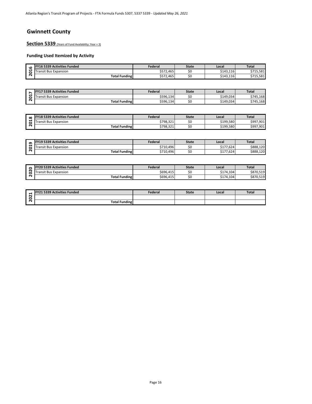## **Gwinnett County**

**Section 5339** (Years of Fund Availability: Year + 3)

| <b>v</b> | <b>FY16 5339 Activities Funded</b> | Federal   | <b>State</b> | Local     | Total             |
|----------|------------------------------------|-----------|--------------|-----------|-------------------|
| ↽<br>c   | -<br>Transit Bus<br>Expansion      | \$572.465 | \$C          | \$143.116 | 15.581<br>ぐつっに    |
|          | <b>Total Funding</b>               | \$572,465 | -SG          | \$143,116 | 5715,581<br>674 F |

|        | .7 5339 Activities Funded<br><b>EV17</b> | Federal   | <b>State</b> | Local     | <b>Total</b> |
|--------|------------------------------------------|-----------|--------------|-----------|--------------|
| ↽<br>c | <b>Transit Bus Expansion</b>             | \$596,134 | 5U           | \$149.034 | \$745.168    |
| ́      | <b>Total Funding</b>                     | \$596,134 | Sι           | \$149,034 | \$745,168    |

| $\infty$ | <b>FY18 5339 Activities Funded</b> | Federal   | <b>State</b> | Local     | <b>Total</b> |
|----------|------------------------------------|-----------|--------------|-----------|--------------|
|          | ransit Bus<br>Expansion            | \$798,321 | SΟ           | \$199,580 | \$997,901    |
| N        | <b>Total Funding</b>               | \$798,321 | \$C          | \$199,580 | \$997,901    |

| ഄ                            |                                    |           |              |           | .            |
|------------------------------|------------------------------------|-----------|--------------|-----------|--------------|
| 201                          | <b>Transit Bus Expansion</b>       | \$572,465 | \$0          | \$143,116 | \$715,581    |
|                              | <b>Total Funding</b>               | \$572,465 | \$0          | \$143,116 | \$715,581    |
|                              |                                    |           |              |           |              |
|                              |                                    | Federal   |              |           |              |
| $\triangleright$             | FY17 5339 Activities Funded        |           | <b>State</b> | Local     | <b>Total</b> |
| ដ                            | Transit Bus Expansion              | \$596,134 | \$0          | \$149,034 | \$745,168    |
| $\overline{\mathbf{N}}$      | <b>Total Funding</b>               | \$596,134 | \$0          | \$149,034 | \$745,168    |
|                              |                                    |           |              |           |              |
|                              | <b>FY18 5339 Activities Funded</b> | Federal   |              |           | <b>Total</b> |
| $\infty$                     |                                    |           | <b>State</b> | Local     |              |
| 201                          | <b>Transit Bus Expansion</b>       | \$798,321 | \$0          | \$199,580 | \$997,901    |
|                              | <b>Total Funding</b>               | \$798,321 | \$0          | \$199,580 | \$997,901    |
|                              |                                    |           |              |           |              |
|                              |                                    |           |              |           |              |
|                              | FY19 5339 Activities Funded        | Federal   | <b>State</b> | Local     | <b>Total</b> |
| 019                          | <b>Transit Bus Expansion</b>       | \$710,496 | \$0          | \$177,624 | \$888,120    |
| $\overline{\mathbf{N}}$      | <b>Total Funding</b>               | \$710,496 | \$0          | \$177,624 | \$888,120    |
|                              |                                    |           |              |           |              |
|                              |                                    |           |              |           |              |
|                              |                                    |           |              |           |              |
| $\circ$                      | <b>FY20 5339 Activities Funded</b> | Federal   | <b>State</b> | Local     | <b>Total</b> |
| 8<br>$\overline{\mathbf{N}}$ | <b>Transit Bus Expansion</b>       | \$696,415 | \$0          | \$174,104 | \$870,519    |

|        | <b>FY20 5339 Activities Funded</b> | Federal   | <b>State</b> | Local     | Total     |
|--------|------------------------------------|-----------|--------------|-----------|-----------|
| -      | t Bus Expansion<br>ransit          | \$696,415 | ۹r<br>ັ      | \$174,104 | \$870,519 |
| $\sim$ | <b>Total Funding</b>               | \$696,415 | ۹r<br>ャ      | \$174,104 | \$870,519 |

| ↽      | <b>1 5339 Activities Funded!</b> | Federal | <b>State</b> | Local | Tota. |
|--------|----------------------------------|---------|--------------|-------|-------|
| $\sim$ |                                  |         |              |       |       |
| $\sim$ | <b>Total Funding</b>             |         |              |       |       |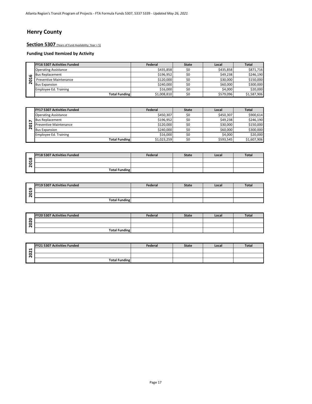## **Henry County**

Section 5307 (Years of Fund Availability: Year + 5)

|         | <b>FY16 5307 Activities Funded</b> | Federal     | <b>State</b> | Local     | Total       |
|---------|------------------------------------|-------------|--------------|-----------|-------------|
|         | <b>Operating Assistance</b>        | \$435.858   | \$0          | \$435.858 | \$871,716   |
| $\circ$ | <b>Bus Replacement</b>             | \$196.952   | \$0          | \$49.238  | \$246.190   |
| −<br>0  | <b>Preventive Maintenance</b>      | \$120,000   | \$0          | \$30,000  | \$150,000   |
| N       | <b>Bus Expansion</b>               | \$240,000   | \$0          | \$60,000  | \$300,000   |
|         | <b>Employee Ed. Training</b>       | \$16,000    | \$0          | \$4,000   | \$20,000    |
|         | <b>Total Funding</b>               | \$1,008,810 | \$0          | \$579,096 | \$1,587,906 |

|                              | <b>FY17 5307 Activities Funded</b> | Federal     | <b>State</b> | Local     | <b>Total</b> |
|------------------------------|------------------------------------|-------------|--------------|-----------|--------------|
|                              | <b>Operating Assistance</b>        | \$450,307   | \$0          | \$450,307 | \$900,614    |
| $\overline{ }$               | <b>Bus Replacement</b>             | \$196,952   | \$0          | \$49,238  | \$246,190    |
| $\overline{201}$             | <b>Preventive Maintenance</b>      | \$120,000   | \$0          | \$30,000  | \$150,000    |
|                              | <b>Bus Expansion</b>               | \$240,000   | \$0          | \$60,000  | \$300,000    |
|                              | <b>Employee Ed. Training</b>       | \$16,000    | \$0          | \$4,000   | \$20,000     |
|                              | <b>Total Funding</b>               | \$1,023,259 | \$0          | \$593,545 | \$1,607,906  |
|                              |                                    |             |              |           |              |
|                              | <b>FY18 5307 Activities Funded</b> | Federal     | <b>State</b> | Local     | <b>Total</b> |
| $\infty$                     |                                    |             |              |           |              |
| ៩<br>$\overline{\mathbf{N}}$ |                                    |             |              |           |              |

|               | <b>FY18 5307 Activities Funded</b> | Federal | <b>State</b> | Local | <b>Total</b> |
|---------------|------------------------------------|---------|--------------|-------|--------------|
| $\infty$<br>↽ |                                    |         |              |       |              |
| 0<br>Ń        |                                    |         |              |       |              |
|               | <b>Total Funding</b>               |         |              |       |              |

|             | <b>FY19 5307 Activities Funded</b> | Federal | <b>State</b> | Local | <b>Total</b> |
|-------------|------------------------------------|---------|--------------|-------|--------------|
| ᡡ<br>↽      |                                    |         |              |       |              |
| 0<br>$\sim$ |                                    |         |              |       |              |
|             | <b>Total Funding</b>               |         |              |       |              |

| <b>FY20 5307 Activities Funded</b> | Federal | <b>State</b> | Local | <b>Total</b> |
|------------------------------------|---------|--------------|-------|--------------|
|                                    |         |              |       |              |
|                                    |         |              |       |              |
| <b>Total Funding</b>               |         |              |       |              |

|             | <b>FY21 5307 Activities Funded</b> | Federal | <b>State</b> | Local | <b>Total</b> |
|-------------|------------------------------------|---------|--------------|-------|--------------|
| −<br>$\sim$ |                                    |         |              |       |              |
| 0<br>$\sim$ |                                    |         |              |       |              |
|             | <b>Total Funding</b>               |         |              |       |              |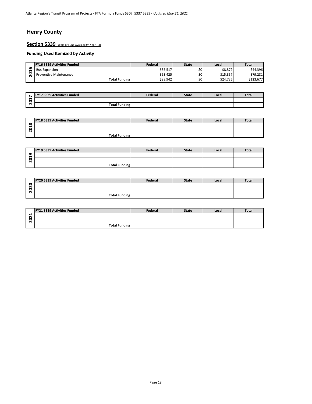# **Henry County**

**Section 5339** (Years of Fund Availability: Year + 3)

|         | <b>FY16 5339 Activities Funded</b> | Federal  | <b>State</b> | Local    | <b>Total</b>              |
|---------|------------------------------------|----------|--------------|----------|---------------------------|
| ۱O<br>↽ | <b>Bus Expansion</b>               | \$35,517 | \$0          | \$8,879  | \$44,396                  |
| с       | <b>Preventive Maintenance</b>      | \$63,425 | \$0          | \$15,857 | \$79,281                  |
|         | <b>Total Funding</b>               | \$98,942 | \$0          | \$24,736 | $\sim$<br>6122<br>5123,07 |

| Ē            | 7 5339 Activities Funded<br><b>IEV</b><br>. . <i>.</i> | Federal | <b>State</b> | Local | Total |
|--------------|--------------------------------------------------------|---------|--------------|-------|-------|
| -<br>$\circ$ |                                                        |         |              |       |       |
| $\sim$       | <b>Total Funding</b>                                   |         |              |       |       |

|               | <b>FY18 5339 Activities Funded</b> | Federal | <b>State</b> | Local | <b>Total</b> |
|---------------|------------------------------------|---------|--------------|-------|--------------|
| $\infty$<br>↽ |                                    |         |              |       |              |
| 0<br>$\sim$   |                                    |         |              |       |              |
|               | <b>Total Funding</b>               |         |              |       |              |

|      | <b>Bus Expansion</b>        | \$35,517       | \$0          | \$8,879  | \$44,396     |
|------|-----------------------------|----------------|--------------|----------|--------------|
| 2016 | Preventive Maintenance      | \$63,425       | \$0          | \$15,857 | \$79,281     |
|      | <b>Total Funding</b>        | \$98,942       | \$0          | \$24,736 | \$123,677    |
|      |                             |                |              |          |              |
|      |                             |                |              |          |              |
|      | FY17 5339 Activities Funded | Federal        | <b>State</b> | Local    | <b>Total</b> |
| 2017 |                             |                |              |          |              |
|      | <b>Total Funding</b>        |                |              |          |              |
|      |                             |                |              |          |              |
|      | FY18 5339 Activities Funded | <b>Federal</b> | <b>State</b> | Local    | <b>Total</b> |
| 2018 |                             |                |              |          |              |
|      |                             |                |              |          |              |
|      | <b>Total Funding</b>        |                |              |          |              |
|      |                             |                |              |          |              |
|      | FY19 5339 Activities Funded | Federal        | <b>State</b> | Local    | <b>Total</b> |
| 2019 |                             |                |              |          |              |
|      |                             |                |              |          |              |
|      | <b>Total Funding</b>        |                |              |          |              |
|      |                             |                |              |          |              |
|      | FY20 5339 Activities Funded | Federal        | <b>State</b> | Local    | <b>Total</b> |
|      |                             |                |              |          |              |
| 2020 |                             |                |              |          |              |
|      | <b>Total Funding</b>        |                |              |          |              |
|      |                             |                |              |          |              |
|      |                             |                |              |          |              |
|      | FY21 5339 Activities Funded | Federal        | <b>State</b> | Local    | <b>Total</b> |
| 2021 |                             |                |              |          |              |
|      |                             |                |              |          |              |

| <b>FY20 5339 Activities Funded</b> | Federal | <b>State</b> | Local | <b>Total</b> |
|------------------------------------|---------|--------------|-------|--------------|
|                                    |         |              |       |              |
|                                    |         |              |       |              |
| <b>Total Funding</b>               |         |              |       |              |

| <b>FY21 5339 Activities Funded</b> | Federal | <b>State</b> | Local | <b>Total</b> |
|------------------------------------|---------|--------------|-------|--------------|
|                                    |         |              |       |              |
|                                    |         |              |       |              |
| <b>Total Funding</b>               |         |              |       |              |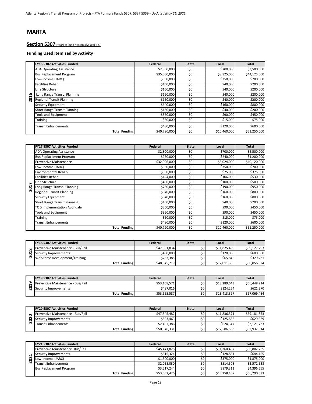# **Section 5307** (Years of Fund Availability: Year + 5)

|     | <b>FY16 5307 Activities Funded</b>  | Federal      | <b>State</b> | Local        | Total        |
|-----|-------------------------------------|--------------|--------------|--------------|--------------|
|     | <b>ADA Operating Assistance</b>     | \$2,800,000  | \$0          | \$700,000    | \$3,500,000  |
|     | <b>Bus Replacement Program</b>      | \$35,300,000 | \$0          | \$8,825,000  | \$44,125,000 |
|     | Low-Income (JARC)                   | \$350,000    | \$0          | \$350,000    | \$700,000    |
|     | <b>Facilities Rehab</b>             | \$160,000    | \$0          | \$40,000     | \$200,000    |
|     | Line Structure                      | \$160,000    | \$0          | \$40,000     | \$200,000    |
| ڡ   | Long Range Transp. Planning         | \$160,000    | \$0          | \$40,000     | \$200,000    |
| 201 | <b>Regional Transit Planning</b>    | \$160,000    | \$0          | \$40,000     | \$200,000    |
|     | Security Equipment                  | \$640,000    | \$0          | \$160,000    | \$800,000    |
|     | <b>Short Range Transit Planning</b> | \$160,000    | \$0          | \$40,000     | \$200,000    |
|     | <b>Tools and Equipment</b>          | \$360,000    | \$0          | \$90,000     | \$450,000    |
|     | Training                            | \$60,000     | \$0          | \$15,000     | \$75,000     |
|     | <b>Transit Enhancements</b>         | \$480,000    | \$0          | \$120,000    | \$600,000    |
|     | <b>Total Funding</b>                | \$40,790,000 | \$0          | \$10,460,000 | \$51,250,000 |

|      | Long Range Transp. Planning                                                                                                                                                                                                           | \$160,000    | Ş0              | \$40,000     | \$200,000    |
|------|---------------------------------------------------------------------------------------------------------------------------------------------------------------------------------------------------------------------------------------|--------------|-----------------|--------------|--------------|
| 2016 | <b>Regional Transit Planning</b>                                                                                                                                                                                                      | \$160,000    | \$0             | \$40,000     | \$200,000    |
|      | <b>Security Equipment</b>                                                                                                                                                                                                             | \$640.000    | $\overline{50}$ | \$160,000    | \$800,000    |
|      | <b>Short Range Transit Planning</b>                                                                                                                                                                                                   | \$160,000    | \$0             | \$40,000     | \$200,000    |
|      | <b>Tools and Equipment</b>                                                                                                                                                                                                            | \$360,000    | \$0             | \$90,000     | \$450,000    |
|      | Training                                                                                                                                                                                                                              | \$60,000     | \$0             | \$15,000     | \$75,000     |
|      | <b>Transit Enhancements</b>                                                                                                                                                                                                           | \$480,000    | \$0             | \$120,000    | \$600,000    |
|      | <b>Total Funding</b>                                                                                                                                                                                                                  | \$40,790,000 | $\overline{50}$ | \$10,460,000 | \$51,250,000 |
|      |                                                                                                                                                                                                                                       |              |                 |              |              |
|      | <b>FY17 5307 Activities Funded</b>                                                                                                                                                                                                    | Federal      | <b>State</b>    | Local        | <b>Total</b> |
|      | <b>ADA Operating Assistance</b>                                                                                                                                                                                                       | \$2,800,000  | \$0             | \$700,000    | \$3,500,000  |
|      | <b>Bus Replacement Program</b>                                                                                                                                                                                                        | \$960,000    | \$0             | \$240,000    | \$1,200,000  |
|      | <b>Preventive Maintenance</b>                                                                                                                                                                                                         | \$32,096,000 | \$0             | \$8,024,000  | \$40,120,000 |
|      | Low-Income (JARC)                                                                                                                                                                                                                     | \$350,000    | \$0             | \$350,000    | \$700,000    |
|      | <b>Environmental Rehab</b>                                                                                                                                                                                                            | \$300,000    | \$0             | \$75,000     |              |
|      | <b>Facilities Rehab</b>                                                                                                                                                                                                               | \$424,000    | \$0             | \$106,000    | \$375,000    |
|      |                                                                                                                                                                                                                                       |              |                 |              | \$530,000    |
|      | Line Structure                                                                                                                                                                                                                        | \$400,000    | \$0             | \$100,000    | \$500,000    |
| 2017 | Long Range Transp. Planning                                                                                                                                                                                                           | \$760,000    | \$0             | \$190,000    | \$950,000    |
|      | <b>Regional Transit Planning</b>                                                                                                                                                                                                      | \$640,000    | \$0             | \$160,000    | \$800,000    |
|      | Security Equipment                                                                                                                                                                                                                    | \$640,000    | \$0             | \$160,000    | \$800,000    |
|      | <b>Short Range Transit Planning</b>                                                                                                                                                                                                   | \$160,000    | \$0             | \$40,000     | \$200,000    |
|      | <b>TOD Implementation Avondale</b>                                                                                                                                                                                                    | \$360,000    | \$0             | \$90,000     | \$450,000    |
|      | <b>Tools and Equipment</b>                                                                                                                                                                                                            | \$360,000    | \$0             | \$90,000     | \$450,000    |
|      | Training                                                                                                                                                                                                                              | \$60,000     | \$0             | \$15,000     | \$75,000     |
|      | <b>Transit Enhancements</b>                                                                                                                                                                                                           | \$480,000    | \$0             | \$120,000    | \$600,000    |
|      | <b>Total Funding</b>                                                                                                                                                                                                                  | \$40,790,000 | \$0             | \$10,460,000 | \$51,250,000 |
|      |                                                                                                                                                                                                                                       |              |                 |              |              |
|      | <b>FY18 5307 Activities Funded</b>                                                                                                                                                                                                    | Federal      | <b>State</b>    | Local        | <b>Total</b> |
|      | Preventive Maintenance - Bus/Rail                                                                                                                                                                                                     | \$47,301,834 | \$0             | \$11,825,459 | \$59,127,293 |
| 2018 | Security Improvements                                                                                                                                                                                                                 | \$480,000    | \$0             | \$120,000    | \$600,000    |
|      | $\mathbf{a}$ and $\mathbf{b}$ are some compact of the contract of the contract of the contract of the contract of the contract of the contract of the contract of the contract of the contract of the contract of the contract of the | A            | $\overline{a}$  | $ACD = 0$    | 4220.224     |

| $\infty$<br>⊣<br>$\sim$ | <b>FY18 5307 Activities Funded</b> | Federal      | <b>State</b> | Local        | <b>Total</b> |
|-------------------------|------------------------------------|--------------|--------------|--------------|--------------|
|                         | Preventive Maintenance - Bus/Rail  | \$47,301,834 | \$0          | \$11.825.459 | \$59.127.293 |
|                         | Security Improvements              | \$480.000    | \$0          | \$120,000    | \$600,000    |
|                         | Workforce Development/Training     | \$263.385    | \$0          | \$65,846     | \$329,231    |
|                         | <b>Total Funding</b>               | \$48.045.219 | \$0          | \$12.011.305 | \$60.056.524 |

|   | <b>FY19 5307 Activities Funded</b> | Federal      | <b>State</b> | Local        | <b>Total</b> |
|---|------------------------------------|--------------|--------------|--------------|--------------|
| െ | Preventive Maintenance - Bus/Rail  | \$53.158.571 | \$0          | \$13.289.643 | \$66,448,214 |
|   | Security Improvements              | \$497,016    | \$0          | \$124.254    | \$621.270    |
|   | <b>Total Funding</b>               | \$53,655,587 | \$0          | \$13,413,897 | \$67,069,484 |

|   | <b>FY20 5307 Activities Funded</b> | Federal      | <b>State</b> | Local        | <b>Total</b> |
|---|------------------------------------|--------------|--------------|--------------|--------------|
|   | Preventive Maintenance - Bus/Rail  | \$47.345.482 | \$0l         | \$11.836.371 | \$59.181.853 |
| ົ | Security Improvements              | \$503,463    | \$0          | \$125.866    | \$629,329    |
| N | <b>Transit Enhancements</b>        | \$2,497,386  | \$0          | \$624.347    | \$3.121.733  |
|   | <b>Total Funding</b>               | \$50,346,331 | \$0          | \$12,586,583 | \$62,932,914 |

|   | <b>FY21 5307 Activities Funded</b> | Federal      | <b>State</b> | Local        | <b>Total</b> |
|---|------------------------------------|--------------|--------------|--------------|--------------|
|   | Preventive Maintenance- Bus/Rail   | \$45,441,828 | \$0l         | \$11,360,457 | \$56,802,285 |
|   | Security Improvements              | \$515.324    | \$0l         | \$128.831    | \$644,155    |
| ∾ | Low-Income (JARC)                  | \$1,500,000  | \$0l         | \$375.000    | \$1,875,000  |
| N | <b>Transit Enhancements</b>        | \$2,058,030  | \$0l         | \$514.508    | \$2,572,538  |
|   | <b>Bus Replacement Program</b>     | \$3,517,244  | \$0          | \$879.311    | \$4,396,555  |
|   | <b>Total Funding</b>               | \$53,032,426 | \$0l         | \$13,258,107 | \$66,290,533 |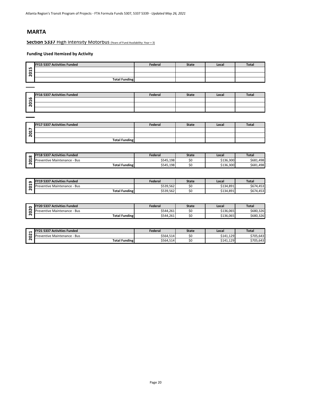#### **Section 5337 High Intensity Motorbus** (Years of Fund Availability: Year + 3)

|        | FY15 5337 Activities Funded | Federal | <b>State</b> | Local | <b>Total</b> |
|--------|-----------------------------|---------|--------------|-------|--------------|
| ц<br>– |                             |         |              |       |              |
| с<br>- |                             |         |              |       |              |
|        | <b>Total Funding</b>        |         |              |       |              |

| 2015 |                                    |           |              |           |              |
|------|------------------------------------|-----------|--------------|-----------|--------------|
|      | <b>Total Funding</b>               |           |              |           |              |
|      |                                    |           |              |           |              |
|      |                                    |           |              |           |              |
|      | <b>FY16 5337 Activities Funded</b> | Federal   | <b>State</b> | Local     | <b>Total</b> |
| 2016 |                                    |           |              |           |              |
|      |                                    |           |              |           |              |
|      |                                    |           |              |           |              |
|      |                                    |           |              |           |              |
|      |                                    |           |              |           |              |
|      | FY17 5337 Activities Funded        | Federal   | <b>State</b> | Local     | <b>Total</b> |
|      |                                    |           |              |           |              |
| 2017 |                                    |           |              |           |              |
|      | <b>Total Funding</b>               |           |              |           |              |
|      |                                    |           |              |           |              |
|      |                                    |           |              |           |              |
|      | FY18 5337 Activities Funded        | Federal   | <b>State</b> | Local     | <b>Total</b> |
| 2018 | Preventive Maintenance - Bus       | \$545,198 | \$0          | \$136,300 | \$681,498    |
|      | <b>Total Funding</b>               | \$545,198 | \$0          | \$136,300 | \$681,498    |
|      |                                    |           |              |           |              |
|      |                                    |           |              |           |              |
|      | FY19 5337 Activities Funded        | Federal   | <b>State</b> | Local     | <b>Total</b> |
| 2019 | Preventive Maintenance - Bus       | \$539,562 | \$0          | \$134,891 | \$674,453    |
|      | <b>Takel Founding</b>              | črno rral | $\sim$       | 6424004   | 6074.453     |

|        | <b>FY17 5337 Activities Funded</b> | Federal | <b>State</b> | Local | <b>Total</b> |
|--------|------------------------------------|---------|--------------|-------|--------------|
| Ê<br>↽ |                                    |         |              |       |              |
| ន      |                                    |         |              |       |              |
|        | <b>Total Funding</b>               |         |              |       |              |

| $\infty$ | <b>FY18 5337 Activities Funded</b>                   | Federal   | <b>State</b> | Local     | Tota.     |
|----------|------------------------------------------------------|-----------|--------------|-----------|-----------|
|          | $\cdots$<br><b>Preventive</b><br>: Maintenance - Bus | \$545,198 | ∼<br>J       | \$136,300 | \$681,498 |
|          | <b>Total Funding</b>                                 | \$545,198 | \$C          | \$136,300 | \$681,498 |

| െ      | <b>FY19 5337 Activities Funded</b> | Federal   | <b>State</b> | Local     | <b>Total</b> |
|--------|------------------------------------|-----------|--------------|-----------|--------------|
| . .    | . IPreventive Maintenance - Bus    | \$539,562 | οu           | \$134,891 | \$674,453    |
| $\sim$ | <b>Total Funding</b>               | \$539,562 | \$0          | \$134,891 | \$674,453    |

| с      | <b>FY20 5337 Activities Funded</b>  | Federal   | State | Local     | <b>Total</b> |
|--------|-------------------------------------|-----------|-------|-----------|--------------|
| $\sim$ | <b>Preventive Maintenance - Bus</b> | \$544.261 |       | \$136.065 | \$680,326    |
| N      | <b>Total Funding</b>                | \$544,261 |       | \$136,065 | \$680,326    |

|        | /21 5337 Activities Funded<br>EV <sub>21</sub> | Federal   | <b>State</b> | Local     | <b>Total</b> |
|--------|------------------------------------------------|-----------|--------------|-----------|--------------|
| N<br>c | e Maintenance - Bus<br><b>Preventive</b>       | \$564,514 | οU           | \$141,129 | \$705.643    |
| $\sim$ | <b>Total Funding</b>                           | \$564,514 | วบ           | \$141,129 | \$705,643    |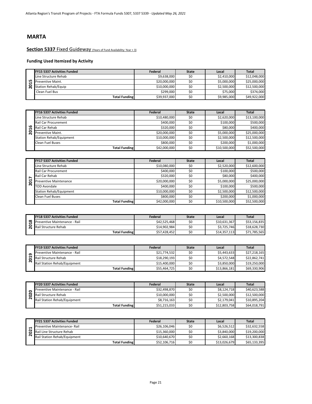#### **Section 5337 Fixed Guideway** (Years of Fund Availability: Year + 3)

|     | <b>FY15 5337 Activities Funded</b> | Federal      | <b>State</b> | Local       | <b>Total</b> |
|-----|------------------------------------|--------------|--------------|-------------|--------------|
|     | Line Structure Rehab               | \$9,638,000  |              | \$2,410,000 | \$12,048,000 |
| LO, | Preventive Maint.                  | \$20,000,000 |              | \$5,000,000 | \$25,000,000 |
| o   | <b>Station Rehab/Equip</b>         | \$10,000,000 |              | \$2,500,000 | \$12,500,000 |
|     | Clean Fuel Bus                     | \$299,000    |              | \$75,000    | \$374,000    |
|     | <b>Total Funding</b>               | \$39,937,000 |              | \$9,985,000 | \$49,922,000 |

|   | <b>FY16 5337 Activities Funded</b> | Federal      | <b>State</b> | Local        | Total        |
|---|------------------------------------|--------------|--------------|--------------|--------------|
|   | Line Structure Rehab               | \$10,480,000 | \$0          | \$2,620,000  | \$13,100,000 |
|   | <b>Rail Car Procurement</b>        | \$400,000    | \$0          | \$100,000    | \$500,000    |
| ൶ | Rail Car Rehab                     | \$320,000    | \$0          | \$80,000     | \$400,000    |
| o | Preventive Maint.                  | \$20,000,000 | \$0          | \$5,000,000  | \$25,000,000 |
|   | <b>Station Rehab/Equipment</b>     | \$10,000,000 | \$0          | \$2,500,000  | \$12,500,000 |
|   | <b>Clean Fuel Buses</b>            | \$800,000    | \$0          | \$200,000    | \$1,000,000  |
|   | <b>Total Funding</b>               | \$42,000,000 | \$0          | \$10,500,000 | \$52,500,000 |

|   | <b>FY17 5337 Activities Funded</b> | Federal      | <b>State</b> | Local        | <b>Total</b> |
|---|------------------------------------|--------------|--------------|--------------|--------------|
|   | Line Structure Rehab               | \$10,080,000 | \$0          | \$2,520,000  | \$12,600,000 |
|   | <b>Rail Car Procurement</b>        | \$400,000    | \$0          | \$100,000    | \$500,000    |
| ↖ | Rail Car Rehab                     | \$320,000    | \$0          | \$80,000     | \$400,000    |
| ៜ | <b>Preventive Maintenance</b>      | \$20,000,000 | \$0          | \$5,000,000  | \$25,000,000 |
| Ñ | <b>TOD Avondale</b>                | \$400,000    | \$0          | \$100,000    | \$500,000    |
|   | <b>Station Rehab/Equipment</b>     | \$10,000,000 | \$0          | \$2,500,000  | \$12,500,000 |
|   | <b>Clean Fuel Buses</b>            | \$800,000    | \$0          | \$200,000    | \$1,000,000  |
|   | <b>Total Funding</b>               | \$42,000,000 | \$0          | \$10,500,000 | \$52,500,000 |

|          | <b>FY18 5337 Activities Funded</b> | Federal      | <b>State</b> | Local        | <b>Total</b> |
|----------|------------------------------------|--------------|--------------|--------------|--------------|
| $\infty$ | Preventive Maintenance - Rail      | \$42.525.468 | \$0          | \$10,631,367 | \$53.156.835 |
|          | Rail Structure Rehab               | \$14.902.984 | \$0          | \$3,725,746  | \$18,628,730 |
|          | <b>Total Funding</b>               | \$57,428,452 | \$0          | \$14,357,113 | \$71.785.565 |

|   | <b>FY19 5337 Activities Funded</b> | Federal      | <b>State</b> | Local        | <b>Total</b> |
|---|------------------------------------|--------------|--------------|--------------|--------------|
| o | Preventive Maintenance - Rail      | \$21,774,532 | \$0          | \$5,443,633  | \$27,218,165 |
|   | Rail Structure Rehab               | \$18,290,193 | \$0          | \$4,572,548  | \$22,862,741 |
| N | Rail Station Rehab/Equipment       | \$15,400,000 | \$0          | \$3,850,000  | \$19,250,000 |
|   | <b>Total Funding</b>               | \$55,464,725 | \$0          | \$13,866,181 | \$69.330.906 |

| ຫ                       |                                    |                                                                                                                                                                                                                                                                                                                                                                                                                                                             |                |                      |                                                                                                                                                                                                                                                                                                                                                                                                                                                             |
|-------------------------|------------------------------------|-------------------------------------------------------------------------------------------------------------------------------------------------------------------------------------------------------------------------------------------------------------------------------------------------------------------------------------------------------------------------------------------------------------------------------------------------------------|----------------|----------------------|-------------------------------------------------------------------------------------------------------------------------------------------------------------------------------------------------------------------------------------------------------------------------------------------------------------------------------------------------------------------------------------------------------------------------------------------------------------|
| ā                       | Rail Structure Rehab               | \$18,290,193                                                                                                                                                                                                                                                                                                                                                                                                                                                | \$0            | \$4,572,548          | \$22,862,741                                                                                                                                                                                                                                                                                                                                                                                                                                                |
| $\overline{\mathbf{N}}$ | Rail Station Rehab/Equipment       | \$15,400,000                                                                                                                                                                                                                                                                                                                                                                                                                                                | \$0            | \$3,850,000          | \$19,250,000                                                                                                                                                                                                                                                                                                                                                                                                                                                |
|                         | <b>Total Funding</b>               | \$55,464,725                                                                                                                                                                                                                                                                                                                                                                                                                                                | \$0            | \$13,866,181         | \$69,330,906                                                                                                                                                                                                                                                                                                                                                                                                                                                |
|                         |                                    |                                                                                                                                                                                                                                                                                                                                                                                                                                                             |                |                      |                                                                                                                                                                                                                                                                                                                                                                                                                                                             |
|                         |                                    |                                                                                                                                                                                                                                                                                                                                                                                                                                                             |                |                      |                                                                                                                                                                                                                                                                                                                                                                                                                                                             |
|                         | <b>FY20 5337 Activities Funded</b> | Federal                                                                                                                                                                                                                                                                                                                                                                                                                                                     | <b>State</b>   | Local                | Total                                                                                                                                                                                                                                                                                                                                                                                                                                                       |
| $\bullet$               | Preventive Maintenance - Rail      | \$32,498,870                                                                                                                                                                                                                                                                                                                                                                                                                                                | \$0            | \$8,124,718          | \$40,623,588                                                                                                                                                                                                                                                                                                                                                                                                                                                |
| 8                       | Rail Structure Rehab               | \$10,000,000                                                                                                                                                                                                                                                                                                                                                                                                                                                | \$0            | \$2,500,000          | \$12,500,000                                                                                                                                                                                                                                                                                                                                                                                                                                                |
| $\overline{\mathbf{N}}$ | Rail Station Rehab/Equipment       | \$8,716,163                                                                                                                                                                                                                                                                                                                                                                                                                                                 | \$0            | \$2,179,041          | \$10,895,204                                                                                                                                                                                                                                                                                                                                                                                                                                                |
|                         | <b>Total Funding</b>               | \$51,215,033                                                                                                                                                                                                                                                                                                                                                                                                                                                | \$0            | \$12,803,758         | \$64,018,791                                                                                                                                                                                                                                                                                                                                                                                                                                                |
|                         |                                    |                                                                                                                                                                                                                                                                                                                                                                                                                                                             |                |                      |                                                                                                                                                                                                                                                                                                                                                                                                                                                             |
|                         |                                    |                                                                                                                                                                                                                                                                                                                                                                                                                                                             |                |                      |                                                                                                                                                                                                                                                                                                                                                                                                                                                             |
|                         | FY21 5337 Activities Funded        | Federal                                                                                                                                                                                                                                                                                                                                                                                                                                                     | <b>State</b>   | Local                | Total                                                                                                                                                                                                                                                                                                                                                                                                                                                       |
| ᆸ                       | Preventive Maintenance- Rail       | \$26,106,046                                                                                                                                                                                                                                                                                                                                                                                                                                                | \$0            | \$6,526,512          | \$32,632,558                                                                                                                                                                                                                                                                                                                                                                                                                                                |
| 202                     | Rail Line Structure Rehab          | \$15,360,000                                                                                                                                                                                                                                                                                                                                                                                                                                                | \$0            | \$3,840,000          | \$19,200,000                                                                                                                                                                                                                                                                                                                                                                                                                                                |
|                         |                                    | $\lambda$ , $\lambda$ , $\lambda$ , $\lambda$ , $\lambda$ , $\lambda$ , $\lambda$ , $\lambda$ , $\lambda$ , $\lambda$ , $\lambda$ , $\lambda$ , $\lambda$ , $\lambda$ , $\lambda$ , $\lambda$ , $\lambda$ , $\lambda$ , $\lambda$ , $\lambda$ , $\lambda$ , $\lambda$ , $\lambda$ , $\lambda$ , $\lambda$ , $\lambda$ , $\lambda$ , $\lambda$ , $\lambda$ , $\lambda$ , $\lambda$ , $\lambda$ , $\lambda$ , $\lambda$ , $\lambda$ , $\lambda$ , $\lambda$ , | $\overline{a}$ | $\lambda$ 2.22.22.22 | $\lambda$ , $\lambda$ , $\lambda$ , $\lambda$ , $\lambda$ , $\lambda$ , $\lambda$ , $\lambda$ , $\lambda$ , $\lambda$ , $\lambda$ , $\lambda$ , $\lambda$ , $\lambda$ , $\lambda$ , $\lambda$ , $\lambda$ , $\lambda$ , $\lambda$ , $\lambda$ , $\lambda$ , $\lambda$ , $\lambda$ , $\lambda$ , $\lambda$ , $\lambda$ , $\lambda$ , $\lambda$ , $\lambda$ , $\lambda$ , $\lambda$ , $\lambda$ , $\lambda$ , $\lambda$ , $\lambda$ , $\lambda$ , $\lambda$ , |

|                    | <b>FY21 5337 Activities Funded</b>  | Federal      | <b>State</b> | Local        | <b>Total</b> |
|--------------------|-------------------------------------|--------------|--------------|--------------|--------------|
|                    | Preventive Maintenance-Rail         | \$26,106,046 | \$0          | \$6,526,512  | \$32,632,558 |
| N                  | Rail Line Structure Rehab           | \$15,360,000 | S0           | \$3,840,000  | \$19.200.000 |
| $\mathbf{\bar{N}}$ | <b>Rail Station Rehab/Equipment</b> | \$10,640,670 | S0           | \$2,660,168  | \$13,300,838 |
|                    | <b>Total Funding</b>                | \$52,106,716 | \$0          | \$13,026,679 | \$65,133,395 |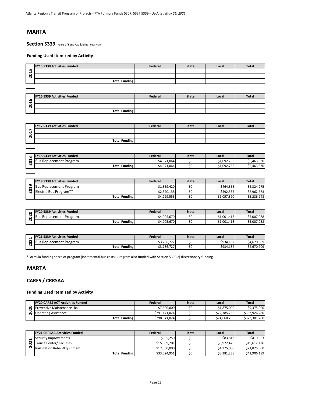**Section 5339** (Years of Fund Availability: Year + 3)

#### **Funding Used Itemized by Activity**

|                              | FY15 5339 Activities Funded | Federal | <b>State</b> | Local | <b>Total</b> |
|------------------------------|-----------------------------|---------|--------------|-------|--------------|
| LO.<br>↽                     |                             |         |              |       |              |
| c<br>$\overline{\mathbf{N}}$ |                             |         |              |       |              |
|                              | <b>Total Funding</b>        |         |              |       |              |

| <b>2015</b> |                                                                                                                            |                                |                       |                        |                             |
|-------------|----------------------------------------------------------------------------------------------------------------------------|--------------------------------|-----------------------|------------------------|-----------------------------|
|             | <b>Total Funding</b>                                                                                                       |                                |                       |                        |                             |
|             |                                                                                                                            |                                |                       |                        |                             |
|             | FY16 5339 Activities Funded                                                                                                | Federal                        | <b>State</b>          | Local                  | Total                       |
| 2016        |                                                                                                                            |                                |                       |                        |                             |
|             |                                                                                                                            |                                |                       |                        |                             |
|             | <b>Total Funding</b>                                                                                                       |                                |                       |                        |                             |
|             |                                                                                                                            |                                |                       |                        |                             |
|             | FY17 5339 Activities Funded                                                                                                | Federal                        | <b>State</b>          | Local                  | Total                       |
|             |                                                                                                                            |                                |                       |                        |                             |
| 2017        |                                                                                                                            |                                |                       |                        |                             |
|             | <b>Total Funding</b>                                                                                                       |                                |                       |                        |                             |
|             |                                                                                                                            |                                |                       |                        |                             |
|             | FY18 5339 Activities Funded                                                                                                |                                |                       |                        |                             |
| 2018        | <b>Bus Replacement Program</b>                                                                                             | Federal<br>\$4,371,064         | <b>State</b><br>\$0   | Local<br>\$1,092,766   | Total<br>\$5,463,830        |
|             | <b>Total Funding</b>                                                                                                       | \$4,371,064                    | \$0                   | \$1,092,766            | \$5,463,830                 |
|             |                                                                                                                            |                                |                       |                        |                             |
|             |                                                                                                                            |                                |                       |                        |                             |
|             | FY19 5339 Activities Funded                                                                                                | Federal                        | <b>State</b>          | Local                  | Total                       |
| Ō,          | <b>Bus Replacement Program</b>                                                                                             | \$1,859,420                    | \$0                   | \$464,855              | \$2,324,275                 |
| 201         | Electric Bus Program**                                                                                                     | \$2,370,138                    | \$0                   | \$592,535              | \$2,962,673                 |
|             | <b>Total Funding</b>                                                                                                       | \$4,229,558                    | \$0                   | \$1,057,390            | \$5,286,948                 |
|             |                                                                                                                            |                                |                       |                        |                             |
|             | FY20 5339 Activities Funded                                                                                                | Federal                        |                       | Local                  | <b>Total</b>                |
|             |                                                                                                                            |                                | <b>State</b>          | \$1,001,418            | \$5,007,088                 |
|             |                                                                                                                            |                                |                       |                        |                             |
| 2020        | <b>Bus Replacement Program</b>                                                                                             | \$4,005,670                    | \$0<br>\$0            | \$1,001,418            |                             |
|             | <b>Total Funding</b>                                                                                                       | \$4,005,670                    |                       |                        | \$5,007,088                 |
|             |                                                                                                                            |                                |                       |                        |                             |
|             | FY21 5339 Activities Funded                                                                                                | Federal                        | <b>State</b>          | Local                  | <b>Total</b>                |
|             | <b>Bus Replacement Program</b>                                                                                             | \$3,736,727                    | \$0                   | \$934,182              | \$4,670,909                 |
| 2021        | <b>Total Funding</b>                                                                                                       | \$3,736,727                    | \$0                   | \$934,182              | \$4,670,909                 |
|             |                                                                                                                            |                                |                       |                        |                             |
|             | *Formula funding share of program (incremental bus costs). Program also funded with Section 5339(c) discretionary funding. |                                |                       |                        |                             |
|             |                                                                                                                            |                                |                       |                        |                             |
|             | <b>MARTA</b>                                                                                                               |                                |                       |                        |                             |
|             |                                                                                                                            |                                |                       |                        |                             |
|             | <b>CARES / CRRSAA</b>                                                                                                      |                                |                       |                        |                             |
|             |                                                                                                                            |                                |                       |                        |                             |
|             | <b>Funding Used Itemized by Activity</b>                                                                                   |                                |                       |                        |                             |
|             |                                                                                                                            |                                |                       |                        |                             |
|             | <b>FY20 CARES ACT Activities Funded</b>                                                                                    | Federal                        | <b>State</b>          | Local                  | Total                       |
|             | Preventive Maintenance- Rail                                                                                               | \$7,500,000                    | \$0                   | \$1,875,000            | \$9,375,000                 |
| 2020        | <b>Operating Assistance</b>                                                                                                | \$291,141,024<br>\$298,641,024 | \$0                   | \$72,785,256           | \$363,926,280               |
|             | <b>Total Funding</b>                                                                                                       |                                | \$0                   | \$74,660,256           | \$373,301,280               |
|             |                                                                                                                            |                                |                       |                        |                             |
|             | <b>FY21 CRRSAA Activities Funded</b>                                                                                       | Federal                        | <b>State</b>          | Local                  | Total                       |
|             | Security Improvements                                                                                                      | \$335,250                      | \$0                   | \$83,813               | \$419,063                   |
| 2021        | <b>Transit Center/ Facilities</b>                                                                                          | \$15,689,701<br>44750000       | \$0<br>$\overline{a}$ | \$3,922,425<br>4.27500 | \$19,612,126<br>424.275.000 |

|                     | FY17 5339 Activities Funded | Federal | <b>State</b> | Local | Total |
|---------------------|-----------------------------|---------|--------------|-------|-------|
| $\overline{ }$<br>↽ |                             |         |              |       |       |
| $\circ$<br>N        |                             |         |              |       |       |
|                     | <b>Total Funding</b>        |         |              |       |       |

| $\infty$ | <b>FY18 5339 Activities Funded</b>        | Federal                   | <b>State</b> | Local             | Total       |
|----------|-------------------------------------------|---------------------------|--------------|-------------------|-------------|
| -        | : Program<br>,Replacement '<br><b>BUS</b> | \$4,371,064               |              | \$1,092,766       | \$5,463,830 |
| $\sim$   | <b>Total Funding</b>                      | 4,371,064<br>.4.274<br>94 | ◡            | \$1,092,766<br>C1 | \$5,463,830 |

|   | <b>FY19 5339 Activities Funded</b> | Federal     | <b>State</b> | Local       | <b>Total</b> |
|---|------------------------------------|-------------|--------------|-------------|--------------|
| െ | <b>Bus Replacement Program</b>     | \$1,859,420 |              | \$464.855   | \$2,324,275  |
|   | Electric Bus Program**             | \$2,370,138 | JU           | \$592.535   | \$2,962,673  |
|   | <b>Total Funding</b>               | \$4,229,558 | SU           | \$1,057,390 | \$5,286,948  |

|   | <b>FY20 5339 Activities Funded</b> | Federal     | <b>State</b> | Local       | Total                    |
|---|------------------------------------|-------------|--------------|-------------|--------------------------|
| N | Bus Replacement Program            | \$4.005.670 | JL           | \$1,001,418 | .088<br>CE OO'           |
| ~ | <b>Total Funding</b>               | \$4,005,670 | SС           | \$1,001,418 | 7,088<br>cr oor<br>SS,UU |

|                     | <b>FY21 5339 Activities Funded</b> | Federal    | <b>State</b> | Local     | Total       |
|---------------------|------------------------------------|------------|--------------|-----------|-------------|
| N                   | Replacement Program<br>16 L        | 3,736,727م | SΟ           | \$934,182 | \$4,670,909 |
| $\hat{\phantom{a}}$ | <b>Total Funding</b>               | 3,736,727ء | SΟ           | \$934,182 | \$4,670,909 |

### **MARTA**

#### **CARES / CRRSAA**

| <b>FY20 CARES ACT Activities Funded</b> | Federal       | <b>State</b> | Local        | <b>Total</b>  |
|-----------------------------------------|---------------|--------------|--------------|---------------|
| Preventive Maintenance- Rail            | \$7,500,000   |              | \$1,875,000  | \$9,375,000   |
| <b>Operating Assistance</b>             | \$291.141.024 |              | \$72,785,256 | \$363.926.280 |
| <b>Total Funding</b>                    | \$298,641,024 |              | \$74,660,256 | \$373.301.280 |

|   | <b>FY21 CRRSAA Activities Funded</b> | Federal      | <b>State</b> | Local       | <b>Total</b> |
|---|--------------------------------------|--------------|--------------|-------------|--------------|
|   | Security Improvements                | \$335,250    |              | \$83,813    | \$419.063    |
| N | <b>Transit Center/ Facilities</b>    | \$15,689,701 |              | \$3.922.425 | \$19,612.126 |
|   | Rail Station Rehab/Equipment         | \$17,500,000 |              | \$4,375,000 | \$21,875,000 |
|   | <b>Total Funding</b>                 | \$33,524,951 |              | \$8,381,238 | \$41,906,189 |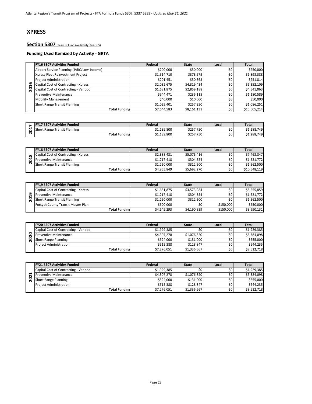## **XPRESS**

#### Section 5307 (Years of Fund Availability: Year + 5)

|                              | <b>FY16 5307 Activities Funded</b>         | Federal     | <b>State</b> | Local | <b>Total</b> |
|------------------------------|--------------------------------------------|-------------|--------------|-------|--------------|
|                              | Airport Service Planning (JARC/Low-Income) | \$200,000   | \$50,000     | \$0   | \$250,000    |
|                              | Xpress Fleet Reinvestment Project          | \$1,514,710 | \$378,678    | \$0   | \$1,893,388  |
|                              | <b>Project Administration</b>              | \$201,451   | \$50,363     | \$0   | \$251,814    |
| ڡ<br>H                       | Capital Cost of Contracting - Xpress       | \$2,032,675 | \$4,319,434  | \$0   | \$6,352,109  |
| o<br>$\overline{\mathbf{N}}$ | Capital Cost of Contracting - Vanpool      | \$1,681,875 | \$2,859,188  | \$0   | \$4,541,063  |
|                              | <b>Preventive Maintenance</b>              | \$944,471   | \$236,118    | \$0   | \$1,180,589  |
|                              | <b>Mobility Management</b>                 | \$40,000    | \$10,000     | \$0   | \$50,000     |
|                              | <b>Short Range Transit Planning</b>        | \$1,029,401 | \$257.350    | \$0   | \$1,086,251  |
|                              | <b>Total Funding</b>                       | \$7,644,583 | \$8,161,131  | \$0   | \$15,605,214 |

|        | ' Activities Funded<br>5307<br>IFY1                  | Federal    | <b>State</b> | Local    | <b>Total</b> |
|--------|------------------------------------------------------|------------|--------------|----------|--------------|
|        | <b>Transit Planning</b><br>rt Range<br><b>IShort</b> | 1,189,800ء | \$257,750    | ċn<br>υç | \$1,288,749  |
| $\sim$ | <b>Total Funding</b>                                 | 51,189,800 | \$257,750    | \$0      | \$1,288,749  |

|          | <b>FY18 5307 Activities Funded</b>   | Federal     | <b>State</b> | Local | <b>Total</b> |
|----------|--------------------------------------|-------------|--------------|-------|--------------|
| $\infty$ | Capital Cost of Contracting - Xpress | \$2.388.431 | \$5.075.416  | \$0   | \$7,463,847  |
| −        | <b>Preventive Maintenance</b>        | \$1.217.418 | \$304.354    | \$0   | \$1,521,772  |
| $\sim$   | Short Range Transit Planning         | \$1.250.000 | \$312.500    | \$0   | \$1,562,500  |
|          | <b>Total Funding</b>                 | \$4,855,849 | \$5,692,270  | \$0   | \$10,548,119 |

| ∞                   | $\frac{1}{2}$                         | <del>∠</del> ∠−−∪∪−− | <del>Y</del> J,∪1J,⊤±∪ | Y         | 71,700,071 <b>.</b>                   |
|---------------------|---------------------------------------|----------------------|------------------------|-----------|---------------------------------------|
| 201                 | <b>Preventive Maintenance</b>         | \$1,217,418          | \$304,354              | \$0       | \$1,521,772                           |
|                     | Short Range Transit Planning          | \$1,250,000          | \$312,500              | \$0       | \$1,562,500                           |
|                     | <b>Total Funding</b>                  | \$4,855,849          | \$5,692,270            | \$0       | \$10,548,119                          |
|                     |                                       |                      |                        |           |                                       |
|                     | <b>FY19 5307 Activities Funded</b>    | Federal              | <b>State</b>           | Local     | <b>Total</b>                          |
|                     | Capital Cost of Contracting - Xpress  | \$1,681,875          | \$3,573,984            | \$0       | \$5,255,859                           |
| 2019                | <b>Preventive Maintenance</b>         | \$1,217,418          | \$304,354              | \$0       | \$1,521,772                           |
|                     | <b>Short Range Transit Planning</b>   | \$1,250,000          | \$312,500              | \$0       | \$1,562,500                           |
|                     | Forsyth County Transit Master Plan    | \$500,000            | \$0                    | \$150,000 | \$650,000                             |
|                     | <b>Total Funding</b>                  | \$4,649,293          | \$4,190,839            | \$150,000 | \$8,990,131                           |
|                     |                                       |                      |                        |           |                                       |
|                     | <b>FY20 5307 Activities Funded</b>    | Federal              | <b>State</b>           | Local     | <b>Total</b>                          |
|                     | Capital Cost of Contracting - Vanpool | \$1,929,385          | \$0                    | \$0       | \$1,929,385                           |
|                     | <b>Preventive Maintenance</b>         | \$4,307,278          | \$1,076,820            | \$0       |                                       |
| 2020                | <b>Short Range Planning</b>           | \$524,000            | \$131,000              | \$0       |                                       |
|                     | <b>Project Administration</b>         | \$515,388            | \$128,847              | \$0       | \$5,384,098<br>\$655,000<br>\$644,235 |
|                     | <b>Total Funding</b>                  | \$7,276,051          | \$1,336,667            | \$0       | \$8,612,718                           |
|                     |                                       |                      |                        |           |                                       |
|                     | <b>FY21 5307 Activities Funded</b>    | Federal              | <b>State</b>           | Local     | <b>Total</b>                          |
|                     | Capital Cost of Contracting - Vanpool | \$1,929,385          | \$0                    | \$0       |                                       |
| ដ<br>$\overline{c}$ | <b>Preventive Maintenance</b>         | \$4,307,278          | \$1,076,820            | \$0       | \$1,929,385<br>\$5,384,098            |

|   | <b>FY20 5307 Activities Funded</b>    | Federal     | <b>State</b> | Local | <b>Total</b> |
|---|---------------------------------------|-------------|--------------|-------|--------------|
|   | Capital Cost of Contracting - Vanpool | \$1.929.385 | \$0          | \$0   | \$1,929,385  |
| o | <b>Preventive Maintenance</b>         | \$4.307.278 | \$1,076,820  | \$0   | \$5.384.098  |
|   | <b>Short Range Planning</b>           | \$524.000   | \$131.000    | \$0   | \$655,000    |
|   | <b>Project Administration</b>         | \$515.388   | \$128.847    | \$0   | \$644.235    |
|   | <b>Total Funding</b>                  | \$7,276,051 | \$1,336,667  | \$0   | \$8,612,718  |

|   | <b>FY21 5307 Activities Funded</b>    | Federal     | <b>State</b> | Local | Total       |
|---|---------------------------------------|-------------|--------------|-------|-------------|
|   | Capital Cost of Contracting - Vanpool | \$1.929.385 | Ś٥.          | \$0   | \$1.929.385 |
|   | <b>Preventive Maintenance</b>         | \$4,307,278 | \$1,076,820  | \$0   | \$5,384,098 |
| 0 | <b>Short Range Planning</b>           | \$524.000   | \$131,000    | \$0   | \$655.000   |
|   | <b>Project Administration</b>         | \$515.388   | \$128.847    | \$0   | \$644.235   |
|   | <b>Total Funding</b>                  | \$7,276,051 | \$1,336,667  | \$0   | \$8,612,718 |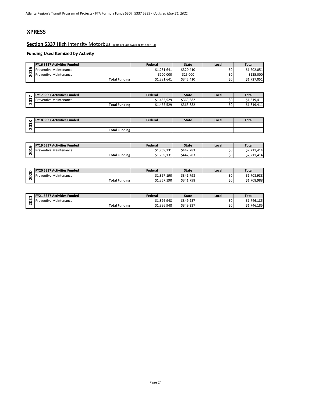## **XPRESS**

**Section 5337 High Intensity Motorbus** (Years of Fund Availability: Year + 3)

|        | <b>FY16 5337 Activities Funded</b> | Federal     | <b>State</b> | Local | <b>Total</b> |
|--------|------------------------------------|-------------|--------------|-------|--------------|
| ൶<br>↽ | <b>Preventive Maintenance</b>      | \$1.281.641 | \$320.410    | \$0   | \$1.602.051  |
| c      | <b>Preventive Maintenance</b>      | \$100.000   | \$25.000     | \$0   | \$125,000    |
|        | Total Funding                      | \$1,381,641 | \$345.410    | \$0   | \$1,727,051  |

| $\overline{\phantom{a}}$ | <b>FY17 5337 Activities Funded</b> | Federal     | <b>State</b> | Local | <b>Total</b>                    |
|--------------------------|------------------------------------|-------------|--------------|-------|---------------------------------|
| −                        | Preventive Maintenance             | \$1,455,529 | \$363.882    | \$0   | 111<br>010<br><b>21,019,411</b> |
| ้ ผ                      | <b>Total Funding</b>               | \$1,455,529 | \$363.882    | \$0   | 111<br>010<br><b>21,019,411</b> |

| $\infty$ | <b>FY18 5337 Activities Funded</b> | Federal | <b>State</b> | Local | <b>Total</b> |
|----------|------------------------------------|---------|--------------|-------|--------------|
| c        |                                    |         |              |       |              |
| N        | <b>Total Funding</b>               |         |              |       |              |

| <b>FY19 5337 Activities Funded</b> | Federal     | State     | Local | <b>Total</b> |
|------------------------------------|-------------|-----------|-------|--------------|
| <b>Preventive Maintenance</b>      | \$1.769.131 | \$442.283 | \$0   | \$2.211.414  |
| <b>Total Funding</b>               | \$1,769,131 | \$442.283 | \$0   | \$2,211,414  |

| ີຕ             | . 23 333 / RULIVILIUS I UNIUCU     | .           | -----        | ----  | .            |
|----------------|------------------------------------|-------------|--------------|-------|--------------|
| ā              | <b>Preventive Maintenance</b>      | \$1,769,131 | \$442,283    | \$0   | \$2,211,414  |
| $\overline{N}$ | <b>Total Funding</b>               | \$1,769,131 | \$442,283    | \$0   | \$2,211,414  |
|                |                                    |             |              |       |              |
|                |                                    |             |              |       |              |
| $\circ$        | <b>FY20 5337 Activities Funded</b> | Federal     | <b>State</b> | Local | <b>Total</b> |
| $\overline{2}$ | <b>Preventive Maintenance</b>      | \$1,367,190 | \$341,798    | \$0   | \$1,708,988  |
| $\overline{N}$ | <b>Total Funding</b>               | \$1,367,190 | \$341,798    | \$0   | \$1,708,988  |
|                |                                    |             |              |       |              |
|                |                                    |             |              |       |              |
| $\blacksquare$ | <b>FY21 5337 Activities Funded</b> | Federal     | <b>State</b> | Local | <b>Total</b> |
| ä              | <b>Preventive Maintenance</b>      | \$1,396,948 | \$349,237    | \$0   | \$1,746,185  |
| $\overline{N}$ | Total Funding                      | 61.206.049  | 6240.227     | ćn    | 61.746.195   |

|             | <b>FY21 5337 Activities Funded</b> | Federal     | <b>State</b> | Local | <b>Total</b>    |
|-------------|------------------------------------|-------------|--------------|-------|-----------------|
| $\sim$<br>ా | <b>Preventive Maintenance</b>      | \$1,396,948 | \$349.237    | \$0   | 46.185<br>746   |
| $\sim$      | <b>Total Funding</b>               | \$1,396,948 | \$349.237    | \$0   | 746,185<br>. ۲۵ |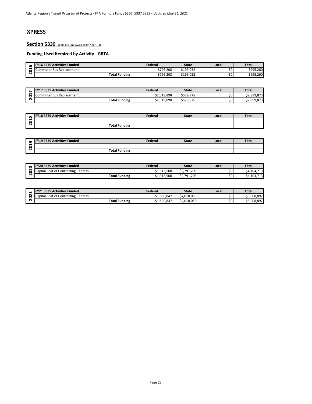## **XPRESS**

**Section 5339** (Years of Fund Availability: Year + 3)

| <b>u</b> | <b>FY16 5339 Activities Funded</b> | Federal   | State     | Local | <b>Total</b> |
|----------|------------------------------------|-----------|-----------|-------|--------------|
| ↽<br>с   | Commuter Bus Replacement           | \$796.208 | \$199.052 | Ś0    | \$995.260    |
| $\sim$   | <b>Total Funding</b>               | \$796,208 | \$199,052 | Ś0    | \$995,260    |

| - | <b>FY17 5339 Activities Funded</b> | Federal     | <b>State</b> | Local | <b>Total</b> |
|---|------------------------------------|-------------|--------------|-------|--------------|
| − | Commuter Bus Replacement           | \$2,319,898 | \$579.975    | \$0   | \$2.899.873  |
| N | <b>Total Funding</b>               | \$2,319,898 | \$579,975    | \$0   | \$2,899,873  |

| $\infty$ | <b>FY18 5339 Activities Funded</b> | Federal | <b>State</b> | Local | Tota. |
|----------|------------------------------------|---------|--------------|-------|-------|
| c        |                                    |         |              |       |       |
| $\sim$   | <b>Total Funding</b>               |         |              |       |       |

|                | . 10 9999 Figures . and co           |             |              | ----  | .            |
|----------------|--------------------------------------|-------------|--------------|-------|--------------|
| 2016           | Commuter Bus Replacement             | \$796,208   | \$199,052    | \$0   | \$995,260    |
|                | <b>Total Funding</b>                 | \$796,208   | \$199,052    | \$0   | \$995,260    |
|                |                                      |             |              |       |              |
|                |                                      |             |              |       |              |
| $\overline{ }$ | FY17 5339 Activities Funded          | Federal     | <b>State</b> | Local | <b>Total</b> |
| 201            | Commuter Bus Replacement             | \$2,319,898 | \$579,975    | \$0   | \$2,899,873  |
|                | <b>Total Funding</b>                 | \$2,319,898 | \$579,975    | \$0   | \$2,899,873  |
|                |                                      |             |              |       |              |
|                |                                      |             |              |       |              |
| $\infty$       | <b>FY18 5339 Activities Funded</b>   | Federal     | <b>State</b> | Local | <b>Total</b> |
| 201            |                                      |             |              |       |              |
|                | <b>Total Funding</b>                 |             |              |       |              |
|                |                                      |             |              |       |              |
|                |                                      |             |              |       |              |
|                | FY19 5339 Activities Funded          | Federal     | <b>State</b> | Local | <b>Total</b> |
| 2019           |                                      |             |              |       |              |
|                | <b>Total Funding</b>                 |             |              |       |              |
|                |                                      |             |              |       |              |
|                |                                      |             |              |       |              |
|                | FY20 5339 Activities Funded          | Federal     | <b>State</b> | Local | <b>Total</b> |
| 2020           | Capital Cost of Contracting - Xpress | \$1,313,508 | \$2,791,205  | \$0   | \$4,104,713  |
|                | Total Funding                        | 61.212E00   | 62.701.205   | ćn    | 61101712     |

|   | <b>FY20 5339 Activities Funded</b>   | Federal     | <b>State</b> | Local | <b>Total</b> |
|---|--------------------------------------|-------------|--------------|-------|--------------|
| ◠ | Capital Cost of Contracting - Xpress | \$1,313,508 | \$2.791.205  | \$0   | \$4,104,713  |
|   | <b>Total Funding</b>                 | \$1,313,508 | \$2,791,205  | \$0   | \$4,104,713  |

|        | Y21 5339 Activities Funded<br>EV <sub>21</sub>        | Federal     | State       | Local | <b>Total</b> |
|--------|-------------------------------------------------------|-------------|-------------|-------|--------------|
| $\sim$ | I Cost of Contracting - '<br><b>Xpress</b><br>Capital | \$1,890,847 | \$4.018.050 | \$0   | \$5,908,897  |
| N      | <b>Total Funding</b>                                  | \$1,890,847 | \$4.018.050 | \$0   | \$5,908,897  |